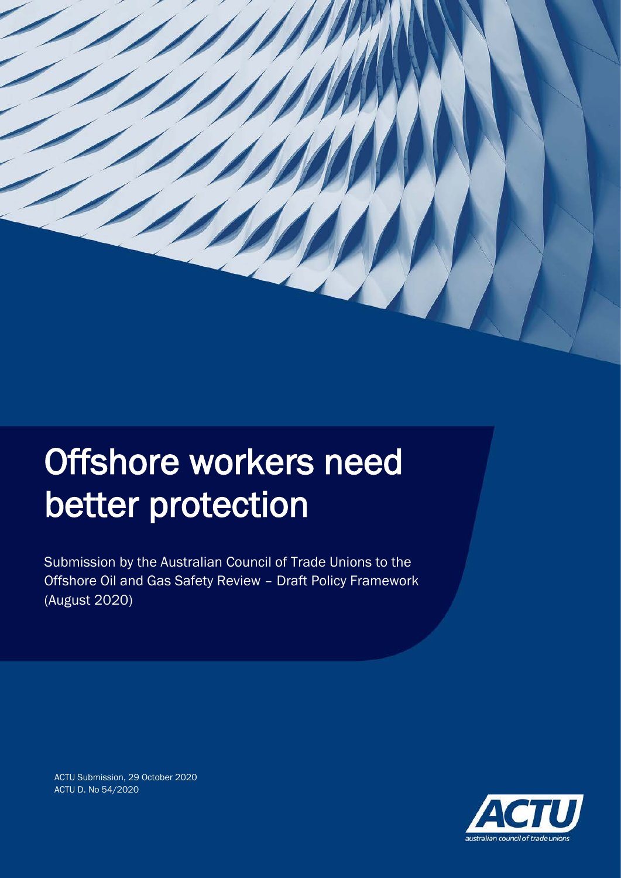

# Offshore workers need better protection

Submission by the Australian Council of Trade Unions to the Offshore Oil and Gas Safety Review – Draft Policy Framework (August 2020)



ACTU Submission, 29 October 2020 ACTU D. No 54/2020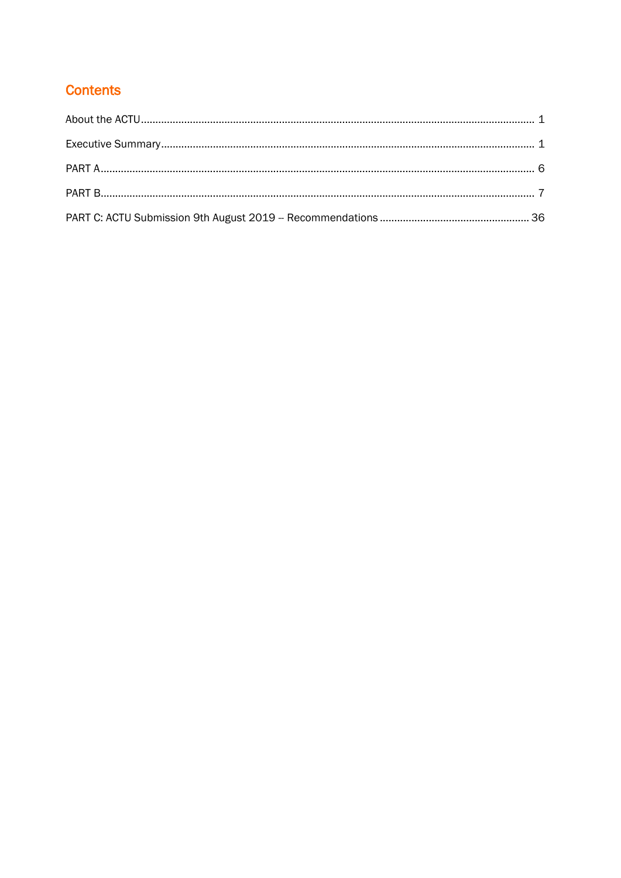## **Contents**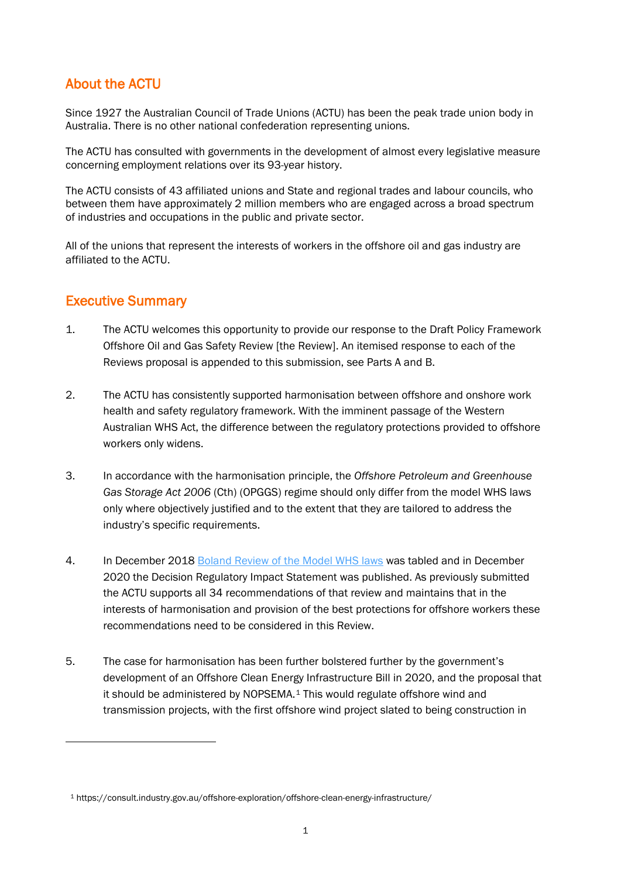### About the ACTU

Since 1927 the Australian Council of Trade Unions (ACTU) has been the peak trade union body in Australia. There is no other national confederation representing unions.

The ACTU has consulted with governments in the development of almost every legislative measure concerning employment relations over its 93-year history.

The ACTU consists of 43 affiliated unions and State and regional trades and labour councils, who between them have approximately 2 million members who are engaged across a broad spectrum of industries and occupations in the public and private sector.

All of the unions that represent the interests of workers in the offshore oil and gas industry are affiliated to the ACTU.

#### Executive Summary

- 1. The ACTU welcomes this opportunity to provide our response to the Draft Policy Framework Offshore Oil and Gas Safety Review [the Review]. An itemised response to each of the Reviews proposal is appended to this submission, see Parts A and B.
- 2. The ACTU has consistently supported harmonisation between offshore and onshore work health and safety regulatory framework. With the imminent passage of the Western Australian WHS Act, the difference between the regulatory protections provided to offshore workers only widens.
- 3. In accordance with the harmonisation principle, the *Offshore Petroleum and Greenhouse Gas Storage Act 2006* (Cth) (OPGGS) regime should only differ from the model WHS laws only where objectively justified and to the extent that they are tailored to address the industry's specific requirements.
- 4. In December 2018 [Boland Review of the Model WHS laws](https://www.safeworkaustralia.gov.au/system/files/documents/1902/review_of_the_model_whs_laws_final_report_0.pdf) was tabled and in December 2020 the Decision Regulatory Impact Statement was published. As previously submitted the ACTU supports all 34 recommendations of that review and maintains that in the interests of harmonisation and provision of the best protections for offshore workers these recommendations need to be considered in this Review.
- 5. The case for harmonisation has been further bolstered further by the government's development of an Offshore Clean Energy Infrastructure Bill in 2020, and the proposal that it should be administered by NOPSEMA.[1](#page-2-0) This would regulate offshore wind and transmission projects, with the first offshore wind project slated to being construction in

<span id="page-2-0"></span><sup>1</sup> https://consult.industry.gov.au/offshore-exploration/offshore-clean-energy-infrastructure/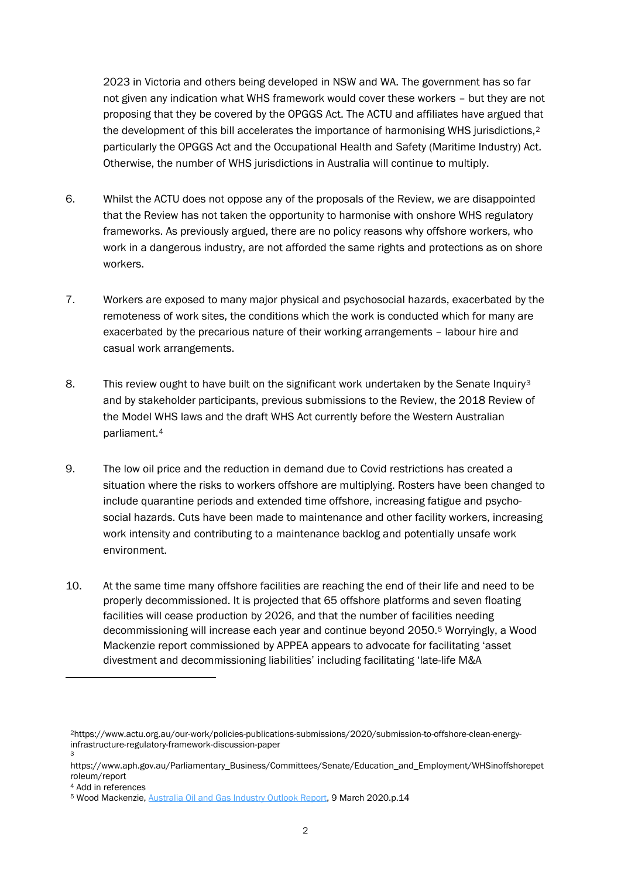2023 in Victoria and others being developed in NSW and WA. The government has so far not given any indication what WHS framework would cover these workers – but they are not proposing that they be covered by the OPGGS Act. The ACTU and affiliates have argued that the development of this bill accelerates the importance of harmonising WHS jurisdictions,<sup>[2](#page-3-0)</sup> particularly the OPGGS Act and the Occupational Health and Safety (Maritime Industry) Act. Otherwise, the number of WHS jurisdictions in Australia will continue to multiply.

- 6. Whilst the ACTU does not oppose any of the proposals of the Review, we are disappointed that the Review has not taken the opportunity to harmonise with onshore WHS regulatory frameworks. As previously argued, there are no policy reasons why offshore workers, who work in a dangerous industry, are not afforded the same rights and protections as on shore workers.
- 7. Workers are exposed to many major physical and psychosocial hazards, exacerbated by the remoteness of work sites, the conditions which the work is conducted which for many are exacerbated by the precarious nature of their working arrangements – labour hire and casual work arrangements.
- 8. This review ought to have built on the significant work undertaken by the Senate Inquiry<sup>[3](#page-3-1)</sup> and by stakeholder participants, previous submissions to the Review, the 2018 Review of the Model WHS laws and the draft WHS Act currently before the Western Australian parliament.[4](#page-3-2)
- 9. The low oil price and the reduction in demand due to Covid restrictions has created a situation where the risks to workers offshore are multiplying. Rosters have been changed to include quarantine periods and extended time offshore, increasing fatigue and psychosocial hazards. Cuts have been made to maintenance and other facility workers, increasing work intensity and contributing to a maintenance backlog and potentially unsafe work environment.
- 10. At the same time many offshore facilities are reaching the end of their life and need to be properly decommissioned. It is projected that 65 offshore platforms and seven floating facilities will cease production by 2026, and that the number of facilities needing decommissioning will increase each year and continue beyond 2050.[5](#page-3-3) Worryingly, a Wood Mackenzie report commissioned by APPEA appears to advocate for facilitating 'asset divestment and decommissioning liabilities' including facilitating 'late-life M&A

<span id="page-3-0"></span><sup>2</sup>https://www.actu.org.au/our-work/policies-publications-submissions/2020/submission-to-offshore-clean-energyinfrastructure-regulatory-framework-discussion-paper 3

<span id="page-3-1"></span>https://www.aph.gov.au/Parliamentary\_Business/Committees/Senate/Education\_and\_Employment/WHSinoffshorepet roleum/report

<sup>4</sup> Add in references

<span id="page-3-3"></span><span id="page-3-2"></span><sup>5</sup> Wood Mackenzie[, Australia Oil and Gas Industry Outlook Report,](https://www.appea.com.au/media_release/new-oil-and-gas-investment-needs-policy-stability/) 9 March 2020.p.14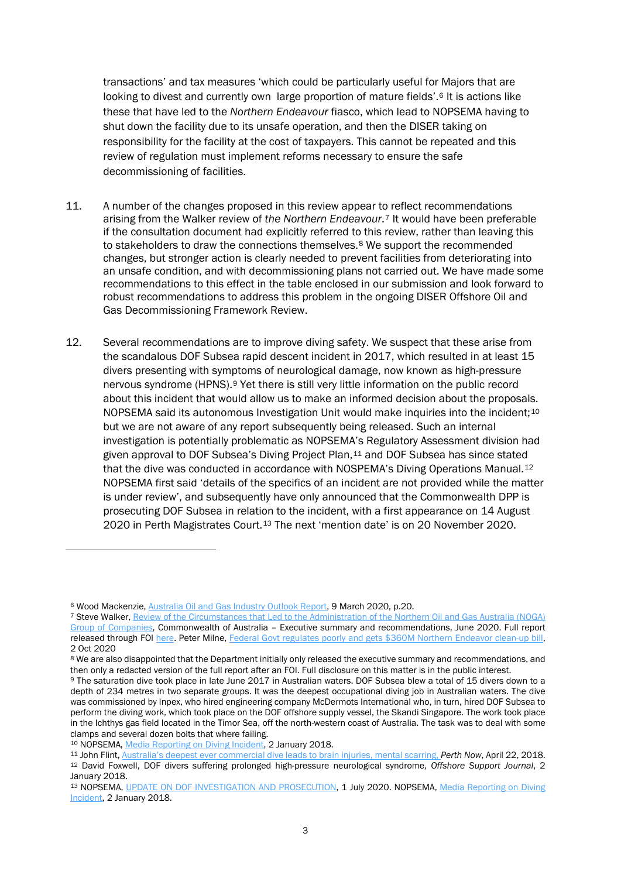transactions' and tax measures 'which could be particularly useful for Majors that are looking to divest and currently own large proportion of mature fields'.<sup>[6](#page-4-0)</sup> It is actions like these that have led to the *Northern Endeavour* fiasco, which lead to NOPSEMA having to shut down the facility due to its unsafe operation, and then the DISER taking on responsibility for the facility at the cost of taxpayers. This cannot be repeated and this review of regulation must implement reforms necessary to ensure the safe decommissioning of facilities.

- 11. A number of the changes proposed in this review appear to reflect recommendations arising from the Walker review of *the Northern Endeavour*.[7](#page-4-1) It would have been preferable if the consultation document had explicitly referred to this review, rather than leaving this to stakeholders to draw the connections themselves.<sup>[8](#page-4-2)</sup> We support the recommended changes, but stronger action is clearly needed to prevent facilities from deteriorating into an unsafe condition, and with decommissioning plans not carried out. We have made some recommendations to this effect in the table enclosed in our submission and look forward to robust recommendations to address this problem in the ongoing DISER Offshore Oil and Gas Decommissioning Framework Review.
- 12. Several recommendations are to improve diving safety. We suspect that these arise from the scandalous DOF Subsea rapid descent incident in 2017, which resulted in at least 15 divers presenting with symptoms of neurological damage, now known as high-pressure nervous syndrome (HPNS).[9](#page-4-3) Yet there is still very little information on the public record about this incident that would allow us to make an informed decision about the proposals. NOPSEMA said its autonomous Investigation Unit would make inquiries into the incident;<sup>[10](#page-4-4)</sup> but we are not aware of any report subsequently being released. Such an internal investigation is potentially problematic as NOPSEMA's Regulatory Assessment division had given approval to DOF Subsea's Diving Project Plan, $11$  and DOF Subsea has since stated that the dive was conducted in accordance with NOSPEMA's Diving Operations Manual.<sup>[12](#page-4-6)</sup> NOPSEMA first said 'details of the specifics of an incident are not provided while the matter is under review', and subsequently have only announced that the Commonwealth DPP is prosecuting DOF Subsea in relation to the incident, with a first appearance on 14 August 2020 in Perth Magistrates Court.[13](#page-4-7) The next 'mention date' is on 20 November 2020.

<span id="page-4-0"></span><sup>6</sup> Wood Mackenzie[, Australia Oil and Gas Industry Outlook Report,](https://www.appea.com.au/media_release/new-oil-and-gas-investment-needs-policy-stability/) 9 March 2020, p.20.

<span id="page-4-1"></span><sup>7</sup> Steve Walker[, Review of the Circumstances that Led to the Administration of the Northern Oil and Gas Australia \(NOGA\)](https://www.industry.gov.au/data-and-publications/independent-review-into-the-circumstances-leading-to-the-administration-and-liquidation-of-northern-oil-and-gas-australia-noga)  [Group of Companies,](https://www.industry.gov.au/data-and-publications/independent-review-into-the-circumstances-leading-to-the-administration-and-liquidation-of-northern-oil-and-gas-australia-noga) Commonwealth of Australia – Executive summary and recommendations, June 2020. Full report released through FO[I here.](https://www.industry.gov.au/sites/default/files/2020-09/disclosure-log-20-036.pdf) Peter Milne, [Federal Govt regulates poorly and gets \\$360M Northern Endeavor clean-up bill,](https://www.boilingcold.com.au/poor-federal-regulation-allowed-the-360m-northern-endeavor-mess/) 2 Oct 2020

<span id="page-4-2"></span><sup>8</sup> We are also disappointed that the Department initially only released the executive summary and recommendations, and then only a redacted version of the full report after an FOI. Full disclosure on this matter is in the public interest.

<span id="page-4-3"></span><sup>9</sup> The saturation dive took place in late June 2017 in Australian waters. DOF Subsea blew a total of 15 divers down to a depth of 234 metres in two separate groups. It was the deepest occupational diving job in Australian waters. The dive was commissioned by Inpex, who hired engineering company McDermots International who, in turn, hired DOF Subsea to perform the diving work, which took place on the DOF offshore supply vessel, the Skandi Singapore. The work took place in the Ichthys gas field located in the Timor Sea, off the north-western coast of Australia. The task was to deal with some clamps and several dozen bolts that where failing.

<span id="page-4-4"></span><sup>10</sup> NOPSEMA, [Media Reporting on Diving Incident,](https://www.nopsema.gov.au/news-and-publications/latest-news/news-announcement/2018/01/02/media-reporting-on-diving-incident/) 2 January 2018.

<span id="page-4-6"></span><span id="page-4-5"></span><sup>11</sup> John Flint, [Australia's deepest ever commercial dive leads to brain injuries, mental scarring,](https://www.perthnow.com.au/news/wa/australias-deepest-ever-commercial-dive-leads-to-brain-injuries-mental-scarring-ng-b88812990z) *Perth Now*, April 22, 2018. <sup>12</sup> David Foxwell, DOF divers suffering prolonged high-pressure neurological syndrome, *Offshore Support Journal*, 2 January 2018.

<span id="page-4-7"></span><sup>13</sup> NOPSEMA, [UPDATE ON DOF INVESTIGATION AND PROSECUTION,](https://www.nopsema.gov.au/news-and-publications/latest-news/news-announcement/2020/07/01/update-on-dof-investigation-and-prosecution/) 1 July 2020. NOPSEMA, Media Reporting on Diving [Incident,](https://www.nopsema.gov.au/news-and-publications/latest-news/news-announcement/2018/01/02/media-reporting-on-diving-incident/) 2 January 2018.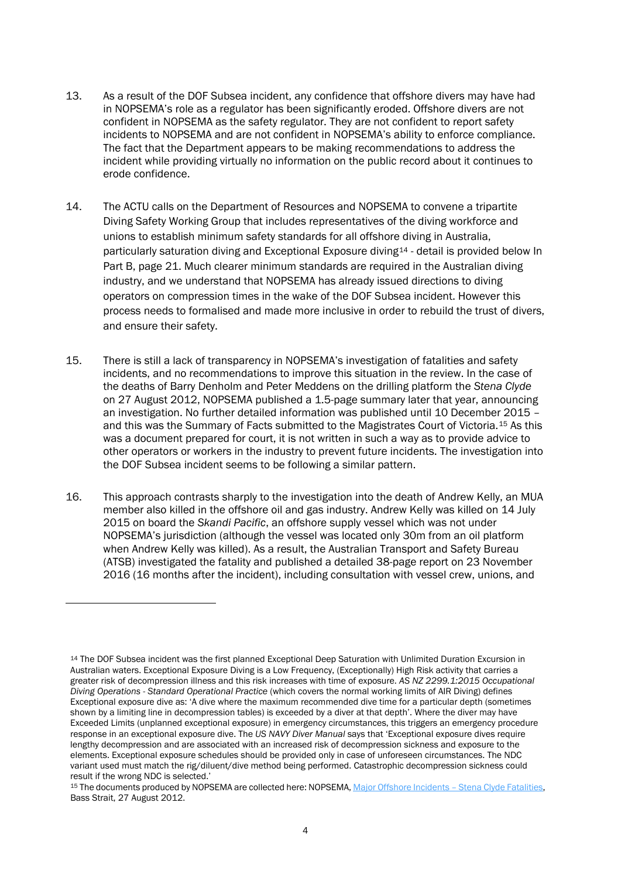- 13. As a result of the DOF Subsea incident, any confidence that offshore divers may have had in NOPSEMA's role as a regulator has been significantly eroded. Offshore divers are not confident in NOPSEMA as the safety regulator. They are not confident to report safety incidents to NOPSEMA and are not confident in NOPSEMA's ability to enforce compliance. The fact that the Department appears to be making recommendations to address the incident while providing virtually no information on the public record about it continues to erode confidence.
- 14. The ACTU calls on the Department of Resources and NOPSEMA to convene a tripartite Diving Safety Working Group that includes representatives of the diving workforce and unions to establish minimum safety standards for all offshore diving in Australia, particularly saturation diving and Exceptional Exposure diving[14](#page-5-0) - detail is provided below In Part B, page 21. Much clearer minimum standards are required in the Australian diving industry, and we understand that NOPSEMA has already issued directions to diving operators on compression times in the wake of the DOF Subsea incident. However this process needs to formalised and made more inclusive in order to rebuild the trust of divers, and ensure their safety.
- 15. There is still a lack of transparency in NOPSEMA's investigation of fatalities and safety incidents, and no recommendations to improve this situation in the review. In the case of the deaths of Barry Denholm and Peter Meddens on the drilling platform the *Stena Clyde* on 27 August 2012, NOPSEMA published a 1.5-page summary later that year, announcing an investigation. No further detailed information was published until 10 December 2015 – and this was the Summary of Facts submitted to the Magistrates Court of Victoria.[15](#page-5-1) As this was a document prepared for court, it is not written in such a way as to provide advice to other operators or workers in the industry to prevent future incidents. The investigation into the DOF Subsea incident seems to be following a similar pattern.
- 16. This approach contrasts sharply to the investigation into the death of Andrew Kelly, an MUA member also killed in the offshore oil and gas industry. Andrew Kelly was killed on 14 July 2015 on board the *Skandi Pacific*, an offshore supply vessel which was not under NOPSEMA's jurisdiction (although the vessel was located only 30m from an oil platform when Andrew Kelly was killed). As a result, the Australian Transport and Safety Bureau (ATSB) investigated the fatality and published a detailed 38-page report on 23 November 2016 (16 months after the incident), including consultation with vessel crew, unions, and

<span id="page-5-0"></span><sup>14</sup> The DOF Subsea incident was the first planned Exceptional Deep Saturation with Unlimited Duration Excursion in Australian waters. Exceptional Exposure Diving is a Low Frequency, (Exceptionally) High Risk activity that carries a greater risk of decompression illness and this risk increases with time of exposure. *AS NZ 2299.1:2015 Occupational Diving Operations - Standard Operational Practice* (which covers the normal working limits of AIR Diving) defines Exceptional exposure dive as: 'A dive where the maximum recommended dive time for a particular depth (sometimes shown by a limiting line in decompression tables) is exceeded by a diver at that depth'. Where the diver may have Exceeded Limits (unplanned exceptional exposure) in emergency circumstances, this triggers an emergency procedure response in an exceptional exposure dive. The *US NAVY Diver Manual* says that 'Exceptional exposure dives require lengthy decompression and are associated with an increased risk of decompression sickness and exposure to the elements. Exceptional exposure schedules should be provided only in case of unforeseen circumstances. The NDC variant used must match the rig/diluent/dive method being performed. Catastrophic decompression sickness could result if the wrong NDC is selected.'

<span id="page-5-1"></span><sup>15</sup> The documents produced by NOPSEMA are collected here: NOPSEMA, Major Offshore Incidents - Stena Clyde Fatalities, Bass Strait, 27 August 2012.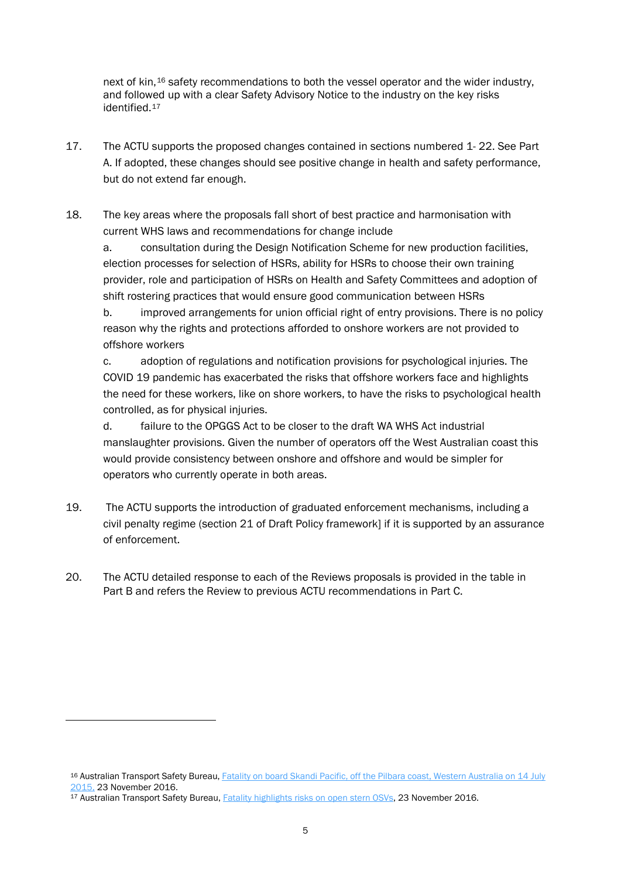next of kin,[16](#page-6-0) safety recommendations to both the vessel operator and the wider industry, and followed up with a clear Safety Advisory Notice to the industry on the key risks identified.[17](#page-6-1)

- 17. The ACTU supports the proposed changes contained in sections numbered 1- 22. See Part A. If adopted, these changes should see positive change in health and safety performance, but do not extend far enough.
- 18. The key areas where the proposals fall short of best practice and harmonisation with current WHS laws and recommendations for change include

a. consultation during the Design Notification Scheme for new production facilities, election processes for selection of HSRs, ability for HSRs to choose their own training provider, role and participation of HSRs on Health and Safety Committees and adoption of shift rostering practices that would ensure good communication between HSRs

b. improved arrangements for union official right of entry provisions. There is no policy reason why the rights and protections afforded to onshore workers are not provided to offshore workers

c. adoption of regulations and notification provisions for psychological injuries. The COVID 19 pandemic has exacerbated the risks that offshore workers face and highlights the need for these workers, like on shore workers, to have the risks to psychological health controlled, as for physical injuries.

d. failure to the OPGGS Act to be closer to the draft WA WHS Act industrial manslaughter provisions. Given the number of operators off the West Australian coast this would provide consistency between onshore and offshore and would be simpler for operators who currently operate in both areas.

- 19. The ACTU supports the introduction of graduated enforcement mechanisms, including a civil penalty regime (section 21 of Draft Policy framework] if it is supported by an assurance of enforcement.
- 20. The ACTU detailed response to each of the Reviews proposals is provided in the table in Part B and refers the Review to previous ACTU recommendations in Part C.

<span id="page-6-0"></span><sup>16</sup> Australian Transport Safety Bureau, Fatality on board Skandi Pacific, off the Pilbara coast, Western Australia on 14 July [2015,](https://www.atsb.gov.au/publications/investigation_reports/2015/mair/322-mo-2015-005/) 23 November 2016.

<span id="page-6-1"></span><sup>&</sup>lt;sup>17</sup> Australian Transport Safety Bureau, [Fatality highlights risks on open stern OSVs,](https://www.atsb.gov.au/publications/investigation_reports/2015/mair/322-mo-2015-005/) 23 November 2016.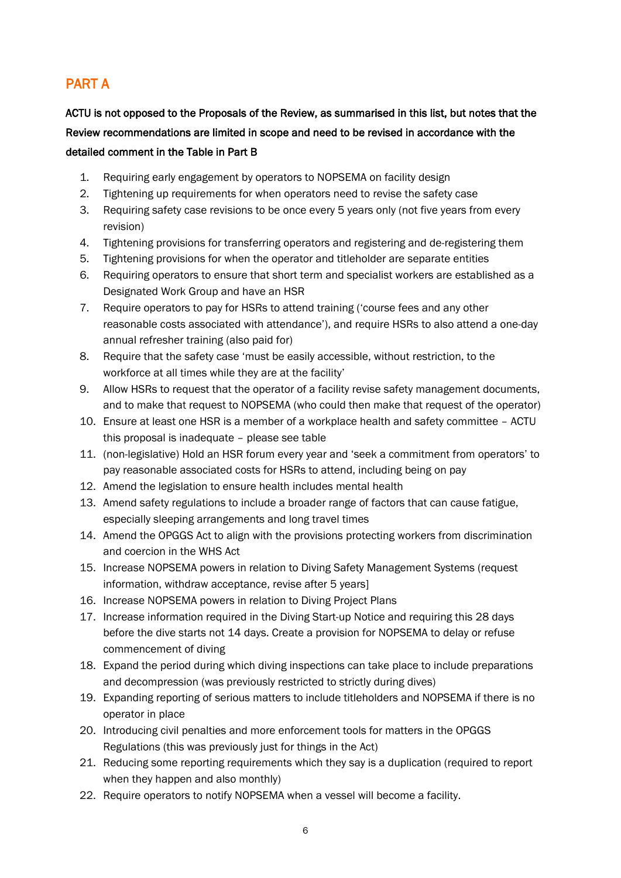## PART A

ACTU is not opposed to the Proposals of the Review, as summarised in this list, but notes that the Review recommendations are limited in scope and need to be revised in accordance with the detailed comment in the Table in Part B

- 1. Requiring early engagement by operators to NOPSEMA on facility design
- 2. Tightening up requirements for when operators need to revise the safety case
- 3. Requiring safety case revisions to be once every 5 years only (not five years from every revision)
- 4. Tightening provisions for transferring operators and registering and de-registering them
- 5. Tightening provisions for when the operator and titleholder are separate entities
- 6. Requiring operators to ensure that short term and specialist workers are established as a Designated Work Group and have an HSR
- 7. Require operators to pay for HSRs to attend training ('course fees and any other reasonable costs associated with attendance'), and require HSRs to also attend a one-day annual refresher training (also paid for)
- 8. Require that the safety case 'must be easily accessible, without restriction, to the workforce at all times while they are at the facility'
- 9. Allow HSRs to request that the operator of a facility revise safety management documents, and to make that request to NOPSEMA (who could then make that request of the operator)
- 10. Ensure at least one HSR is a member of a workplace health and safety committee ACTU this proposal is inadequate – please see table
- 11. (non-legislative) Hold an HSR forum every year and 'seek a commitment from operators' to pay reasonable associated costs for HSRs to attend, including being on pay
- 12. Amend the legislation to ensure health includes mental health
- 13. Amend safety regulations to include a broader range of factors that can cause fatigue, especially sleeping arrangements and long travel times
- 14. Amend the OPGGS Act to align with the provisions protecting workers from discrimination and coercion in the WHS Act
- 15. Increase NOPSEMA powers in relation to Diving Safety Management Systems (request information, withdraw acceptance, revise after 5 years]
- 16. Increase NOPSEMA powers in relation to Diving Project Plans
- 17. Increase information required in the Diving Start-up Notice and requiring this 28 days before the dive starts not 14 days. Create a provision for NOPSEMA to delay or refuse commencement of diving
- 18. Expand the period during which diving inspections can take place to include preparations and decompression (was previously restricted to strictly during dives)
- 19. Expanding reporting of serious matters to include titleholders and NOPSEMA if there is no operator in place
- 20. Introducing civil penalties and more enforcement tools for matters in the OPGGS Regulations (this was previously just for things in the Act)
- 21. Reducing some reporting requirements which they say is a duplication (required to report when they happen and also monthly)
- 22. Require operators to notify NOPSEMA when a vessel will become a facility.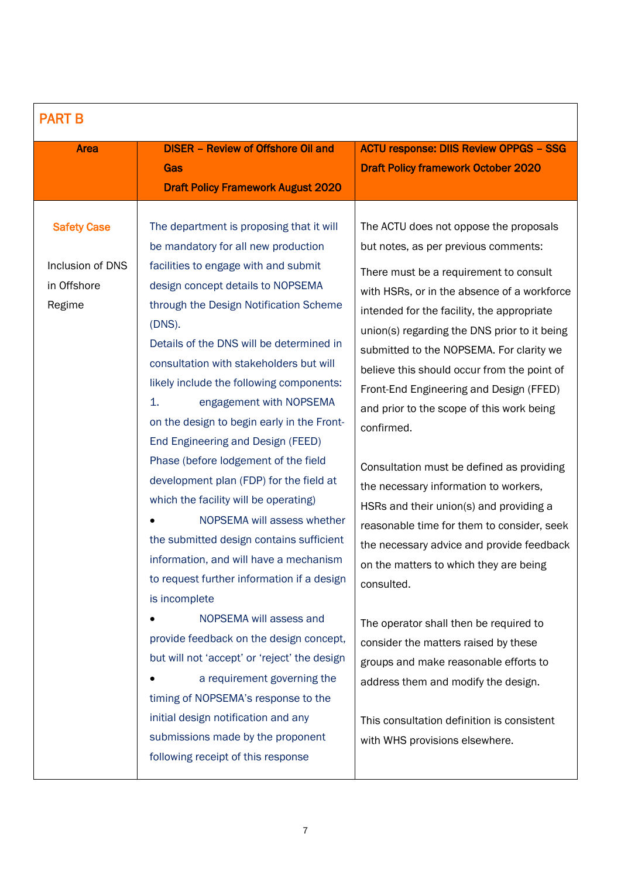| <b>PART B</b>                                                   |                                                                                                                                                                                                                                                                                                                                                                                                                                                                                                                                                                                                                                                                                                                                                                                                                                                                                                                                                                                                                                                                                                       |                                                                                                                                                                                                                                                                                                                                                                                                                                                                                                                                                                                                                                                                                                                                                                                                                                                                                                                                                                                                              |
|-----------------------------------------------------------------|-------------------------------------------------------------------------------------------------------------------------------------------------------------------------------------------------------------------------------------------------------------------------------------------------------------------------------------------------------------------------------------------------------------------------------------------------------------------------------------------------------------------------------------------------------------------------------------------------------------------------------------------------------------------------------------------------------------------------------------------------------------------------------------------------------------------------------------------------------------------------------------------------------------------------------------------------------------------------------------------------------------------------------------------------------------------------------------------------------|--------------------------------------------------------------------------------------------------------------------------------------------------------------------------------------------------------------------------------------------------------------------------------------------------------------------------------------------------------------------------------------------------------------------------------------------------------------------------------------------------------------------------------------------------------------------------------------------------------------------------------------------------------------------------------------------------------------------------------------------------------------------------------------------------------------------------------------------------------------------------------------------------------------------------------------------------------------------------------------------------------------|
| <b>Area</b>                                                     | <b>DISER - Review of Offshore Oil and</b>                                                                                                                                                                                                                                                                                                                                                                                                                                                                                                                                                                                                                                                                                                                                                                                                                                                                                                                                                                                                                                                             | <b>ACTU response: DIIS Review OPPGS - SSG</b>                                                                                                                                                                                                                                                                                                                                                                                                                                                                                                                                                                                                                                                                                                                                                                                                                                                                                                                                                                |
|                                                                 | Gas                                                                                                                                                                                                                                                                                                                                                                                                                                                                                                                                                                                                                                                                                                                                                                                                                                                                                                                                                                                                                                                                                                   | <b>Draft Policy framework October 2020</b>                                                                                                                                                                                                                                                                                                                                                                                                                                                                                                                                                                                                                                                                                                                                                                                                                                                                                                                                                                   |
|                                                                 | <b>Draft Policy Framework August 2020</b>                                                                                                                                                                                                                                                                                                                                                                                                                                                                                                                                                                                                                                                                                                                                                                                                                                                                                                                                                                                                                                                             |                                                                                                                                                                                                                                                                                                                                                                                                                                                                                                                                                                                                                                                                                                                                                                                                                                                                                                                                                                                                              |
| <b>Safety Case</b><br>Inclusion of DNS<br>in Offshore<br>Regime | The department is proposing that it will<br>be mandatory for all new production<br>facilities to engage with and submit<br>design concept details to NOPSEMA<br>through the Design Notification Scheme<br>(DNS).<br>Details of the DNS will be determined in<br>consultation with stakeholders but will<br>likely include the following components:<br>1.<br>engagement with NOPSEMA<br>on the design to begin early in the Front-<br>End Engineering and Design (FEED)<br>Phase (before lodgement of the field<br>development plan (FDP) for the field at<br>which the facility will be operating)<br>NOPSEMA will assess whether<br>the submitted design contains sufficient<br>information, and will have a mechanism<br>to request further information if a design<br>is incomplete<br>NOPSEMA will assess and<br>provide feedback on the design concept,<br>but will not 'accept' or 'reject' the design<br>a requirement governing the<br>timing of NOPSEMA's response to the<br>initial design notification and any<br>submissions made by the proponent<br>following receipt of this response | The ACTU does not oppose the proposals<br>but notes, as per previous comments:<br>There must be a requirement to consult<br>with HSRs, or in the absence of a workforce<br>intended for the facility, the appropriate<br>union(s) regarding the DNS prior to it being<br>submitted to the NOPSEMA. For clarity we<br>believe this should occur from the point of<br>Front-End Engineering and Design (FFED)<br>and prior to the scope of this work being<br>confirmed.<br>Consultation must be defined as providing<br>the necessary information to workers,<br>HSRs and their union(s) and providing a<br>reasonable time for them to consider, seek<br>the necessary advice and provide feedback<br>on the matters to which they are being<br>consulted.<br>The operator shall then be required to<br>consider the matters raised by these<br>groups and make reasonable efforts to<br>address them and modify the design.<br>This consultation definition is consistent<br>with WHS provisions elsewhere. |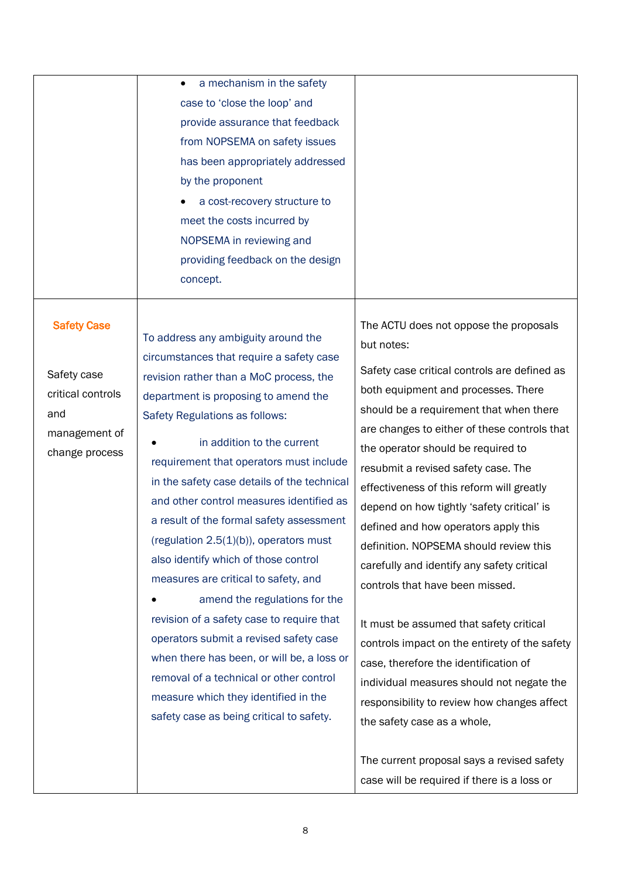|                    | a mechanism in the safety                   |                                               |
|--------------------|---------------------------------------------|-----------------------------------------------|
|                    | case to 'close the loop' and                |                                               |
|                    | provide assurance that feedback             |                                               |
|                    | from NOPSEMA on safety issues               |                                               |
|                    | has been appropriately addressed            |                                               |
|                    | by the proponent                            |                                               |
|                    | a cost-recovery structure to                |                                               |
|                    | meet the costs incurred by                  |                                               |
|                    | NOPSEMA in reviewing and                    |                                               |
|                    | providing feedback on the design            |                                               |
|                    | concept.                                    |                                               |
|                    |                                             |                                               |
|                    |                                             |                                               |
| <b>Safety Case</b> | To address any ambiguity around the         | The ACTU does not oppose the proposals        |
|                    | circumstances that require a safety case    | but notes:                                    |
| Safety case        | revision rather than a MoC process, the     | Safety case critical controls are defined as  |
| critical controls  | department is proposing to amend the        | both equipment and processes. There           |
| and                | Safety Regulations as follows:              | should be a requirement that when there       |
| management of      |                                             | are changes to either of these controls that  |
| change process     | in addition to the current                  | the operator should be required to            |
|                    | requirement that operators must include     | resubmit a revised safety case. The           |
|                    | in the safety case details of the technical | effectiveness of this reform will greatly     |
|                    | and other control measures identified as    | depend on how tightly 'safety critical' is    |
|                    | a result of the formal safety assessment    | defined and how operators apply this          |
|                    | (regulation $2.5(1)(b)$ ), operators must   | definition. NOPSEMA should review this        |
|                    | also identify which of those control        | carefully and identify any safety critical    |
|                    | measures are critical to safety, and        | controls that have been missed.               |
|                    | amend the regulations for the               |                                               |
|                    | revision of a safety case to require that   | It must be assumed that safety critical       |
|                    | operators submit a revised safety case      | controls impact on the entirety of the safety |
|                    | when there has been, or will be, a loss or  |                                               |
|                    | removal of a technical or other control     | case, therefore the identification of         |
|                    | measure which they identified in the        | individual measures should not negate the     |
|                    | safety case as being critical to safety.    | responsibility to review how changes affect   |
|                    |                                             | the safety case as a whole,                   |
|                    |                                             |                                               |
|                    |                                             | The current proposal says a revised safety    |
|                    |                                             | case will be required if there is a loss or   |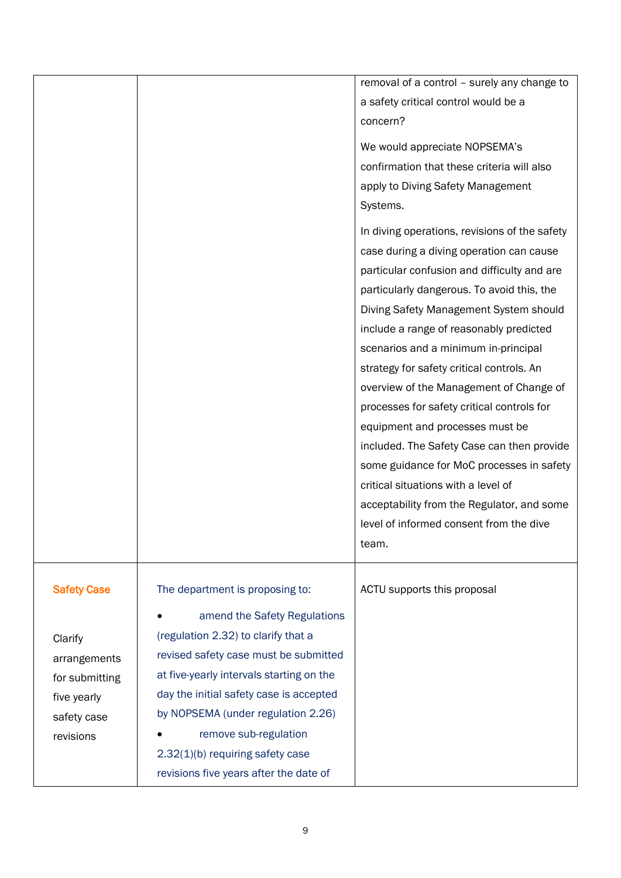|                                                                                                            |                                                                                                                                                                                                                                                                                                                                                                                                  | removal of a control - surely any change to<br>a safety critical control would be a<br>concern?<br>We would appreciate NOPSEMA's<br>confirmation that these criteria will also<br>apply to Diving Safety Management<br>Systems.                                                                                                                                                                                                                                                                                                                                                                                                                                                                                                  |
|------------------------------------------------------------------------------------------------------------|--------------------------------------------------------------------------------------------------------------------------------------------------------------------------------------------------------------------------------------------------------------------------------------------------------------------------------------------------------------------------------------------------|----------------------------------------------------------------------------------------------------------------------------------------------------------------------------------------------------------------------------------------------------------------------------------------------------------------------------------------------------------------------------------------------------------------------------------------------------------------------------------------------------------------------------------------------------------------------------------------------------------------------------------------------------------------------------------------------------------------------------------|
|                                                                                                            |                                                                                                                                                                                                                                                                                                                                                                                                  | In diving operations, revisions of the safety<br>case during a diving operation can cause<br>particular confusion and difficulty and are<br>particularly dangerous. To avoid this, the<br>Diving Safety Management System should<br>include a range of reasonably predicted<br>scenarios and a minimum in-principal<br>strategy for safety critical controls. An<br>overview of the Management of Change of<br>processes for safety critical controls for<br>equipment and processes must be<br>included. The Safety Case can then provide<br>some guidance for MoC processes in safety<br>critical situations with a level of<br>acceptability from the Regulator, and some<br>level of informed consent from the dive<br>team. |
| <b>Safety Case</b><br>Clarify<br>arrangements<br>for submitting<br>five yearly<br>safety case<br>revisions | The department is proposing to:<br>amend the Safety Regulations<br>$\bullet$<br>(regulation 2.32) to clarify that a<br>revised safety case must be submitted<br>at five-yearly intervals starting on the<br>day the initial safety case is accepted<br>by NOPSEMA (under regulation 2.26)<br>remove sub-regulation<br>2.32(1)(b) requiring safety case<br>revisions five years after the date of | ACTU supports this proposal                                                                                                                                                                                                                                                                                                                                                                                                                                                                                                                                                                                                                                                                                                      |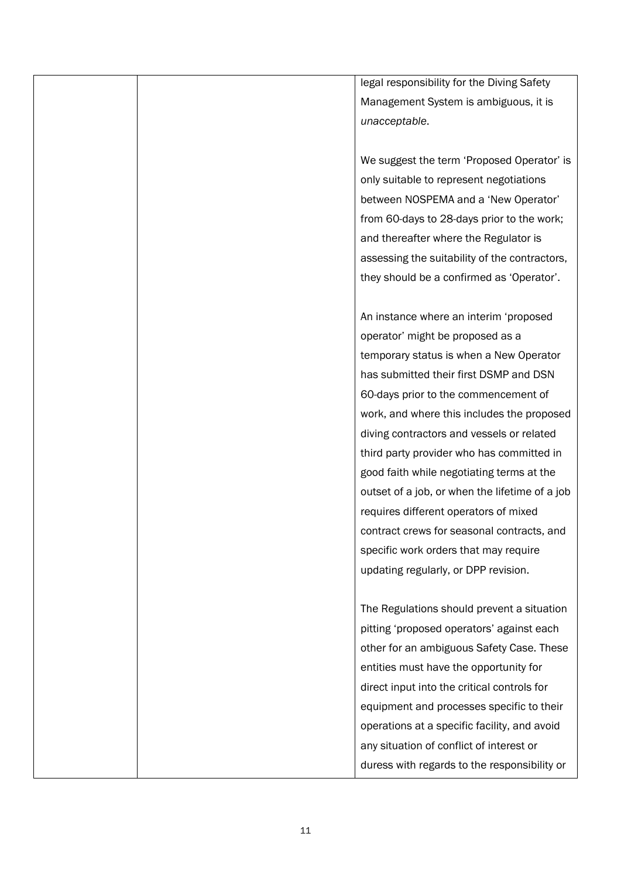legal responsibility for the Diving Safety Management System is ambiguous, it is *unacceptable*.

We suggest the term 'Proposed Operator' is only suitable to represent negotiations between NOSPEMA and a 'New Operator' from 60-days to 28-days prior to the work; and thereafter where the Regulator is assessing the suitability of the contractors, they should be a confirmed as 'Operator'.

An instance where an interim 'proposed operator' might be proposed as a temporary status is when a New Operator has submitted their first DSMP and DSN 60-days prior to the commencement of work, and where this includes the proposed diving contractors and vessels or related third party provider who has committed in good faith while negotiating terms at the outset of a job, or when the lifetime of a job requires different operators of mixed contract crews for seasonal contracts, and specific work orders that may require updating regularly, or DPP revision.

The Regulations should prevent a situation pitting 'proposed operators' against each other for an ambiguous Safety Case. These entities must have the opportunity for direct input into the critical controls for equipment and processes specific to their operations at a specific facility, and avoid any situation of conflict of interest or duress with regards to the responsibility or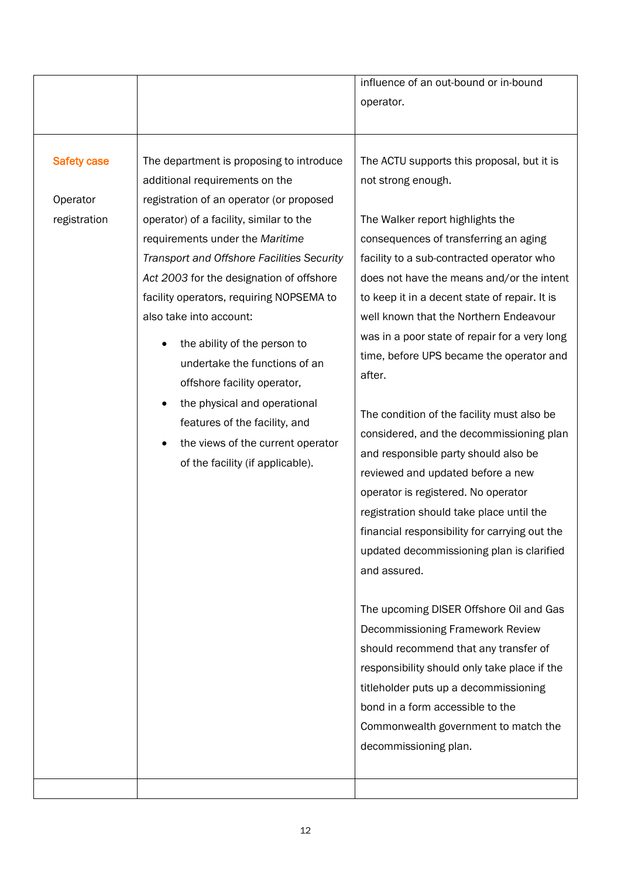|                                                |                                                                                                                                                                                                                                                                                                                                                                                                                                                                                                                                                                                                                 | influence of an out-bound or in-bound<br>operator.                                                                                                                                                                                                                                                                                                                                                                                                                                                                                                                                                                                                                                                                                                                                                                                                                                                                                                                                                                                                                                                                                      |
|------------------------------------------------|-----------------------------------------------------------------------------------------------------------------------------------------------------------------------------------------------------------------------------------------------------------------------------------------------------------------------------------------------------------------------------------------------------------------------------------------------------------------------------------------------------------------------------------------------------------------------------------------------------------------|-----------------------------------------------------------------------------------------------------------------------------------------------------------------------------------------------------------------------------------------------------------------------------------------------------------------------------------------------------------------------------------------------------------------------------------------------------------------------------------------------------------------------------------------------------------------------------------------------------------------------------------------------------------------------------------------------------------------------------------------------------------------------------------------------------------------------------------------------------------------------------------------------------------------------------------------------------------------------------------------------------------------------------------------------------------------------------------------------------------------------------------------|
| <b>Safety case</b><br>Operator<br>registration | The department is proposing to introduce<br>additional requirements on the<br>registration of an operator (or proposed<br>operator) of a facility, similar to the<br>requirements under the Maritime<br>Transport and Offshore Facilities Security<br>Act 2003 for the designation of offshore<br>facility operators, requiring NOPSEMA to<br>also take into account:<br>the ability of the person to<br>undertake the functions of an<br>offshore facility operator,<br>the physical and operational<br>features of the facility, and<br>the views of the current operator<br>of the facility (if applicable). | The ACTU supports this proposal, but it is<br>not strong enough.<br>The Walker report highlights the<br>consequences of transferring an aging<br>facility to a sub-contracted operator who<br>does not have the means and/or the intent<br>to keep it in a decent state of repair. It is<br>well known that the Northern Endeavour<br>was in a poor state of repair for a very long<br>time, before UPS became the operator and<br>after.<br>The condition of the facility must also be<br>considered, and the decommissioning plan<br>and responsible party should also be<br>reviewed and updated before a new<br>operator is registered. No operator<br>registration should take place until the<br>financial responsibility for carrying out the<br>updated decommissioning plan is clarified<br>and assured.<br>The upcoming DISER Offshore Oil and Gas<br>Decommissioning Framework Review<br>should recommend that any transfer of<br>responsibility should only take place if the<br>titleholder puts up a decommissioning<br>bond in a form accessible to the<br>Commonwealth government to match the<br>decommissioning plan. |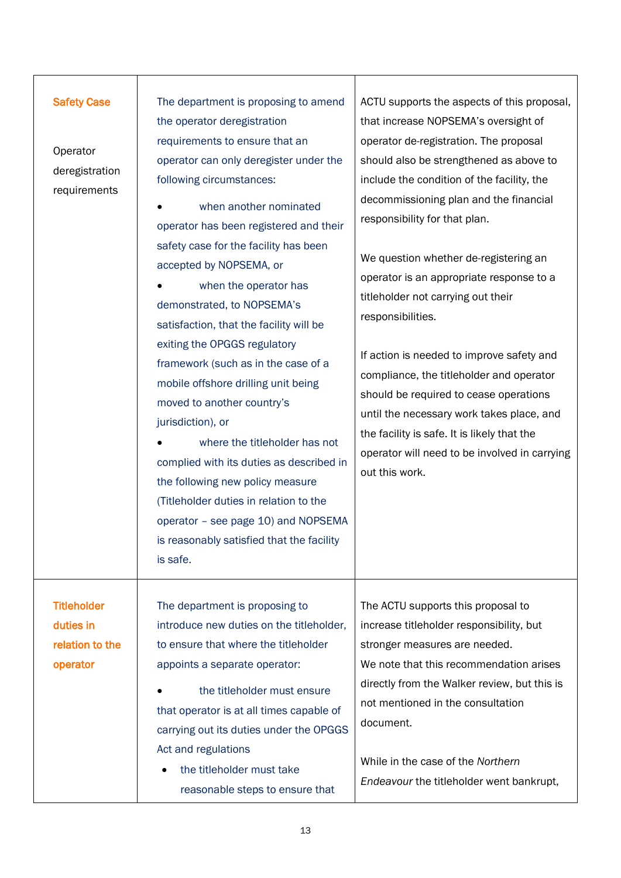| <b>Safety Case</b><br>Operator<br>deregistration<br>requirements | The department is proposing to amend<br>the operator deregistration<br>requirements to ensure that an<br>operator can only deregister under the<br>following circumstances:<br>when another nominated<br>operator has been registered and their<br>safety case for the facility has been<br>accepted by NOPSEMA, or<br>when the operator has<br>demonstrated, to NOPSEMA's<br>satisfaction, that the facility will be<br>exiting the OPGGS regulatory<br>framework (such as in the case of a<br>mobile offshore drilling unit being<br>moved to another country's<br>jurisdiction), or | ACTU supports the aspects of this proposal,<br>that increase NOPSEMA's oversight of<br>operator de-registration. The proposal<br>should also be strengthened as above to<br>include the condition of the facility, the<br>decommissioning plan and the financial<br>responsibility for that plan.<br>We question whether de-registering an<br>operator is an appropriate response to a<br>titleholder not carrying out their<br>responsibilities.<br>If action is needed to improve safety and<br>compliance, the titleholder and operator<br>should be required to cease operations<br>until the necessary work takes place, and |
|------------------------------------------------------------------|----------------------------------------------------------------------------------------------------------------------------------------------------------------------------------------------------------------------------------------------------------------------------------------------------------------------------------------------------------------------------------------------------------------------------------------------------------------------------------------------------------------------------------------------------------------------------------------|-----------------------------------------------------------------------------------------------------------------------------------------------------------------------------------------------------------------------------------------------------------------------------------------------------------------------------------------------------------------------------------------------------------------------------------------------------------------------------------------------------------------------------------------------------------------------------------------------------------------------------------|
|                                                                  | where the titleholder has not<br>complied with its duties as described in<br>the following new policy measure<br>(Titleholder duties in relation to the<br>operator - see page 10) and NOPSEMA<br>is reasonably satisfied that the facility<br>is safe.                                                                                                                                                                                                                                                                                                                                | the facility is safe. It is likely that the<br>operator will need to be involved in carrying<br>out this work.                                                                                                                                                                                                                                                                                                                                                                                                                                                                                                                    |
| <b>Titleholder</b><br>duties in<br>relation to the<br>operator   | The department is proposing to<br>introduce new duties on the titleholder,<br>to ensure that where the titleholder<br>appoints a separate operator:<br>the titleholder must ensure<br>that operator is at all times capable of<br>carrying out its duties under the OPGGS<br>Act and regulations<br>the titleholder must take<br>reasonable steps to ensure that                                                                                                                                                                                                                       | The ACTU supports this proposal to<br>increase titleholder responsibility, but<br>stronger measures are needed.<br>We note that this recommendation arises<br>directly from the Walker review, but this is<br>not mentioned in the consultation<br>document.<br>While in the case of the Northern<br>Endeavour the titleholder went bankrupt,                                                                                                                                                                                                                                                                                     |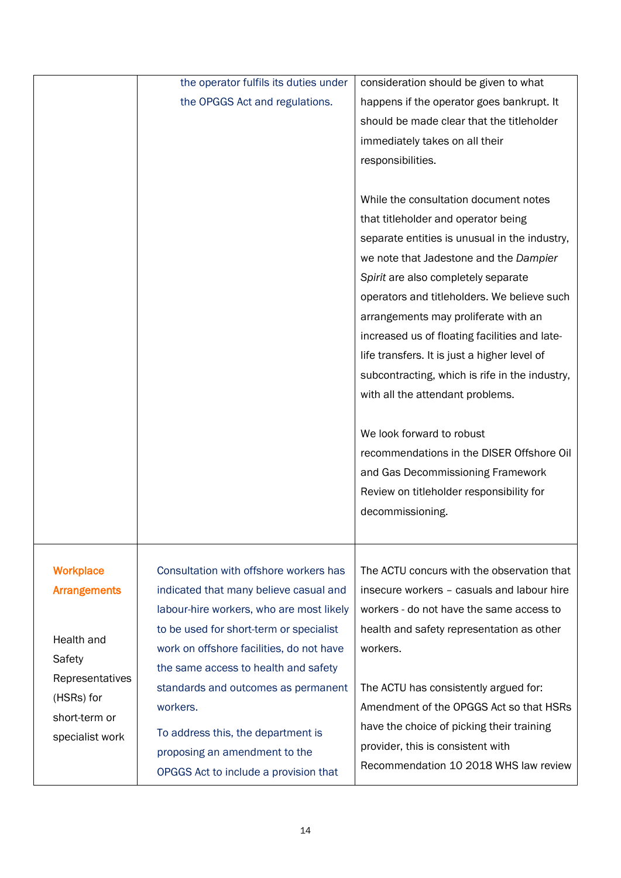|                     | the operator fulfils its duties under    | consideration should be given to what          |
|---------------------|------------------------------------------|------------------------------------------------|
|                     | the OPGGS Act and regulations.           | happens if the operator goes bankrupt. It      |
|                     |                                          | should be made clear that the titleholder      |
|                     |                                          | immediately takes on all their                 |
|                     |                                          | responsibilities.                              |
|                     |                                          |                                                |
|                     |                                          | While the consultation document notes          |
|                     |                                          | that titleholder and operator being            |
|                     |                                          | separate entities is unusual in the industry,  |
|                     |                                          | we note that Jadestone and the Dampier         |
|                     |                                          | Spirit are also completely separate            |
|                     |                                          | operators and titleholders. We believe such    |
|                     |                                          | arrangements may proliferate with an           |
|                     |                                          | increased us of floating facilities and late-  |
|                     |                                          | life transfers. It is just a higher level of   |
|                     |                                          | subcontracting, which is rife in the industry, |
|                     |                                          | with all the attendant problems.               |
|                     |                                          |                                                |
|                     |                                          | We look forward to robust                      |
|                     |                                          | recommendations in the DISER Offshore Oil      |
|                     |                                          | and Gas Decommissioning Framework              |
|                     |                                          | Review on titleholder responsibility for       |
|                     |                                          | decommissioning.                               |
|                     |                                          |                                                |
|                     |                                          |                                                |
| <b>Workplace</b>    | Consultation with offshore workers has   | The ACTU concurs with the observation that     |
| <b>Arrangements</b> | indicated that many believe casual and   | insecure workers - casuals and labour hire     |
|                     | labour-hire workers, who are most likely | workers - do not have the same access to       |
| Health and          | to be used for short-term or specialist  | health and safety representation as other      |
| Safety              | work on offshore facilities, do not have | workers.                                       |
| Representatives     | the same access to health and safety     |                                                |
| (HSRs) for          | standards and outcomes as permanent      | The ACTU has consistently argued for:          |
| short-term or       | workers.                                 | Amendment of the OPGGS Act so that HSRs        |
| specialist work     | To address this, the department is       | have the choice of picking their training      |
|                     | proposing an amendment to the            | provider, this is consistent with              |
|                     | OPGGS Act to include a provision that    | Recommendation 10 2018 WHS law review          |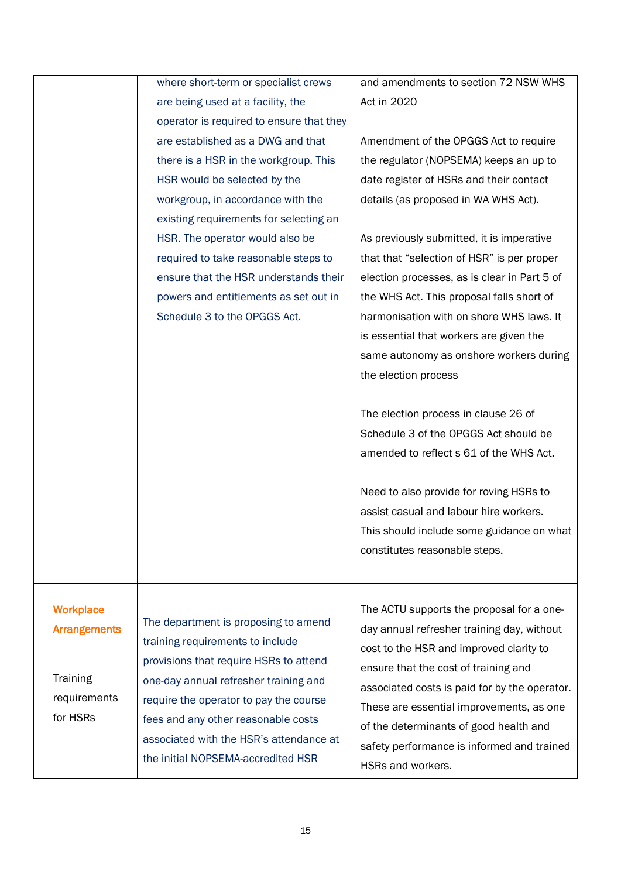|                     | where short-term or specialist crews     | and amendments to section 72 NSW WHS          |
|---------------------|------------------------------------------|-----------------------------------------------|
|                     | are being used at a facility, the        | Act in 2020                                   |
|                     | operator is required to ensure that they |                                               |
|                     | are established as a DWG and that        | Amendment of the OPGGS Act to require         |
|                     | there is a HSR in the workgroup. This    | the regulator (NOPSEMA) keeps an up to        |
|                     | HSR would be selected by the             | date register of HSRs and their contact       |
|                     | workgroup, in accordance with the        | details (as proposed in WA WHS Act).          |
|                     | existing requirements for selecting an   |                                               |
|                     | HSR. The operator would also be          | As previously submitted, it is imperative     |
|                     | required to take reasonable steps to     | that that "selection of HSR" is per proper    |
|                     | ensure that the HSR understands their    | election processes, as is clear in Part 5 of  |
|                     | powers and entitlements as set out in    | the WHS Act. This proposal falls short of     |
|                     | Schedule 3 to the OPGGS Act.             | harmonisation with on shore WHS laws. It      |
|                     |                                          | is essential that workers are given the       |
|                     |                                          | same autonomy as onshore workers during       |
|                     |                                          | the election process                          |
|                     |                                          |                                               |
|                     |                                          | The election process in clause 26 of          |
|                     |                                          | Schedule 3 of the OPGGS Act should be         |
|                     |                                          | amended to reflect s 61 of the WHS Act.       |
|                     |                                          |                                               |
|                     |                                          | Need to also provide for roving HSRs to       |
|                     |                                          | assist casual and labour hire workers.        |
|                     |                                          | This should include some guidance on what     |
|                     |                                          | constitutes reasonable steps.                 |
|                     |                                          |                                               |
|                     |                                          |                                               |
| <b>Workplace</b>    |                                          | The ACTU supports the proposal for a one-     |
| <b>Arrangements</b> | The department is proposing to amend     | day annual refresher training day, without    |
|                     | training requirements to include         | cost to the HSR and improved clarity to       |
|                     | provisions that require HSRs to attend   | ensure that the cost of training and          |
| Training            | one-day annual refresher training and    | associated costs is paid for by the operator. |
| requirements        | require the operator to pay the course   | These are essential improvements, as one      |
| for HSRs            | fees and any other reasonable costs      | of the determinants of good health and        |
|                     | associated with the HSR's attendance at  | safety performance is informed and trained    |
|                     | the initial NOPSEMA-accredited HSR       | HSRs and workers.                             |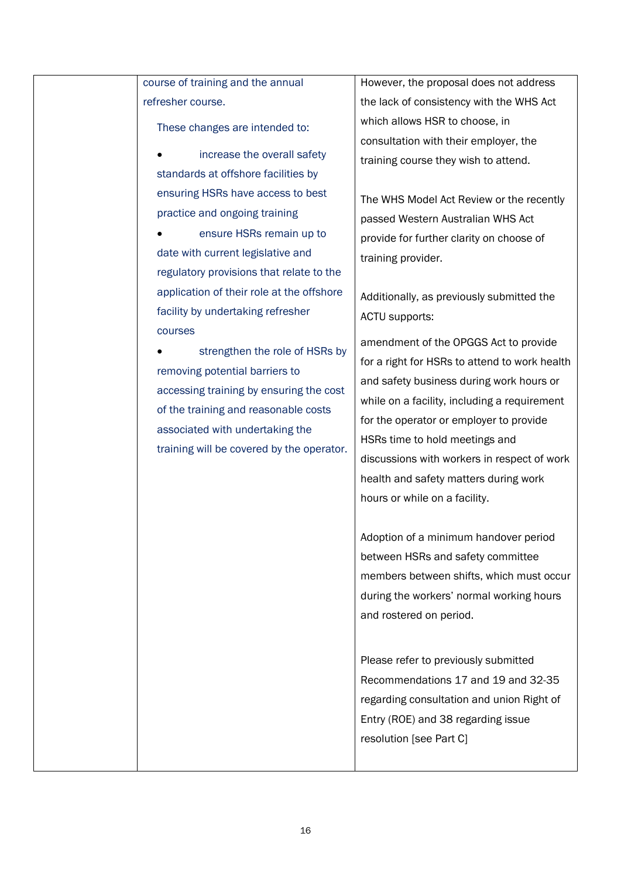| course of training and the annual         | However, the proposal does not address        |
|-------------------------------------------|-----------------------------------------------|
| refresher course.                         | the lack of consistency with the WHS Act      |
| These changes are intended to:            | which allows HSR to choose, in                |
|                                           | consultation with their employer, the         |
| increase the overall safety               | training course they wish to attend.          |
| standards at offshore facilities by       |                                               |
| ensuring HSRs have access to best         | The WHS Model Act Review or the recently      |
| practice and ongoing training             | passed Western Australian WHS Act             |
| ensure HSRs remain up to                  | provide for further clarity on choose of      |
| date with current legislative and         | training provider.                            |
| regulatory provisions that relate to the  |                                               |
| application of their role at the offshore | Additionally, as previously submitted the     |
| facility by undertaking refresher         | ACTU supports:                                |
| courses                                   |                                               |
| strengthen the role of HSRs by            | amendment of the OPGGS Act to provide         |
| removing potential barriers to            | for a right for HSRs to attend to work health |
| accessing training by ensuring the cost   | and safety business during work hours or      |
| of the training and reasonable costs      | while on a facility, including a requirement  |
| associated with undertaking the           | for the operator or employer to provide       |
| training will be covered by the operator. | HSRs time to hold meetings and                |
|                                           | discussions with workers in respect of work   |
|                                           | health and safety matters during work         |
|                                           | hours or while on a facility.                 |
|                                           | Adoption of a minimum handover period         |
|                                           | between HSRs and safety committee             |
|                                           |                                               |
|                                           | members between shifts, which must occur      |
|                                           | during the workers' normal working hours      |
|                                           | and rostered on period.                       |
|                                           | Please refer to previously submitted          |
|                                           | Recommendations 17 and 19 and 32-35           |
|                                           |                                               |
|                                           | regarding consultation and union Right of     |
|                                           | Entry (ROE) and 38 regarding issue            |
|                                           | resolution [see Part C]                       |
|                                           |                                               |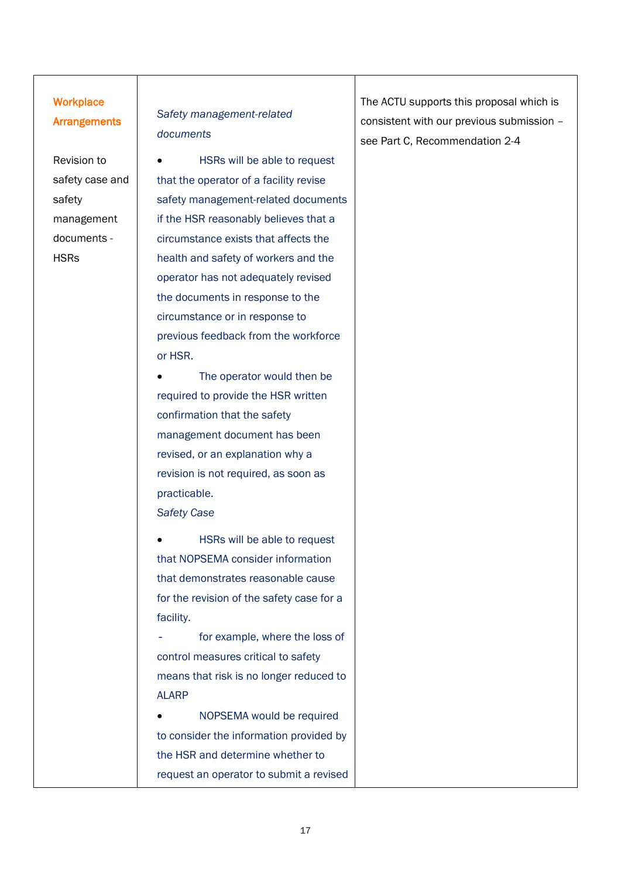#### **Workplace Arrangements**

Revision to safety case and safety management documents - **HSRs** 

#### *Safety management-related documents*

• HSRs will be able to request that the operator of a facility revise safety management-related documents if the HSR reasonably believes that a circumstance exists that affects the health and safety of workers and the operator has not adequately revised the documents in response to the circumstance or in response to previous feedback from the workforce or HSR.

The operator would then be required to provide the HSR written confirmation that the safety management document has been revised, or an explanation why a revision is not required, as soon as practicable.

*Safety Case*

HSRs will be able to request that NOPSEMA consider information that demonstrates reasonable cause for the revision of the safety case for a facility.

for example, where the loss of control measures critical to safety means that risk is no longer reduced to ALARP

• NOPSEMA would be required to consider the information provided by the HSR and determine whether to request an operator to submit a revised The ACTU supports this proposal which is consistent with our previous submission – see Part C, Recommendation 2-4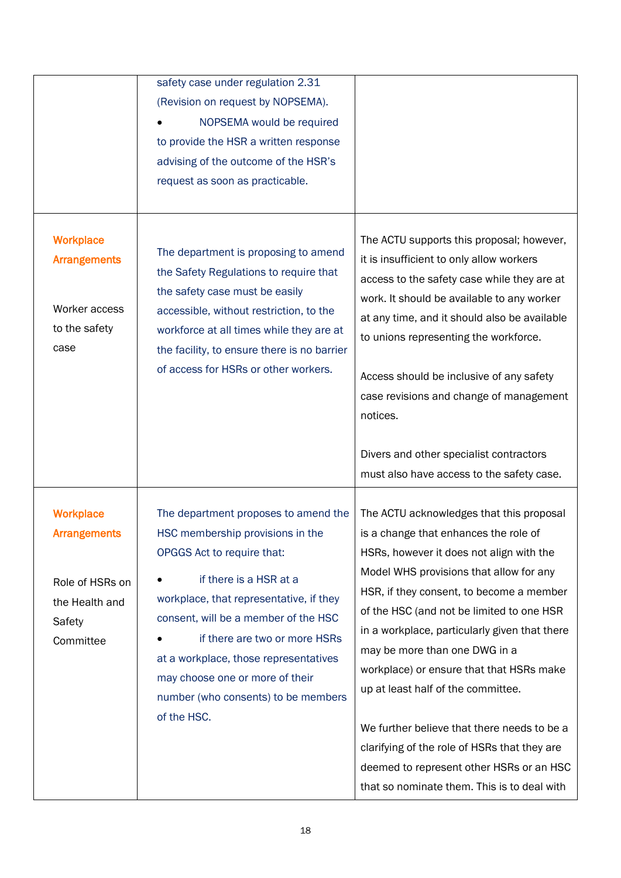|                                                                                                     | safety case under regulation 2.31<br>(Revision on request by NOPSEMA).<br>NOPSEMA would be required<br>to provide the HSR a written response<br>advising of the outcome of the HSR's<br>request as soon as practicable.                                                                                                                                                                |                                                                                                                                                                                                                                                                                                                                                                                                                                                                                                                                                                                                                                 |
|-----------------------------------------------------------------------------------------------------|----------------------------------------------------------------------------------------------------------------------------------------------------------------------------------------------------------------------------------------------------------------------------------------------------------------------------------------------------------------------------------------|---------------------------------------------------------------------------------------------------------------------------------------------------------------------------------------------------------------------------------------------------------------------------------------------------------------------------------------------------------------------------------------------------------------------------------------------------------------------------------------------------------------------------------------------------------------------------------------------------------------------------------|
| <b>Workplace</b><br><b>Arrangements</b><br>Worker access<br>to the safety<br>case                   | The department is proposing to amend<br>the Safety Regulations to require that<br>the safety case must be easily<br>accessible, without restriction, to the<br>workforce at all times while they are at<br>the facility, to ensure there is no barrier<br>of access for HSRs or other workers.                                                                                         | The ACTU supports this proposal; however,<br>it is insufficient to only allow workers<br>access to the safety case while they are at<br>work. It should be available to any worker<br>at any time, and it should also be available<br>to unions representing the workforce.<br>Access should be inclusive of any safety<br>case revisions and change of management<br>notices.<br>Divers and other specialist contractors<br>must also have access to the safety case.                                                                                                                                                          |
| <b>Workplace</b><br><b>Arrangements</b><br>Role of HSRs on<br>the Health and<br>Safety<br>Committee | The department proposes to amend the<br>HSC membership provisions in the<br>OPGGS Act to require that:<br>if there is a HSR at a<br>workplace, that representative, if they<br>consent, will be a member of the HSC<br>if there are two or more HSRs<br>at a workplace, those representatives<br>may choose one or more of their<br>number (who consents) to be members<br>of the HSC. | The ACTU acknowledges that this proposal<br>is a change that enhances the role of<br>HSRs, however it does not align with the<br>Model WHS provisions that allow for any<br>HSR, if they consent, to become a member<br>of the HSC (and not be limited to one HSR<br>in a workplace, particularly given that there<br>may be more than one DWG in a<br>workplace) or ensure that that HSRs make<br>up at least half of the committee.<br>We further believe that there needs to be a<br>clarifying of the role of HSRs that they are<br>deemed to represent other HSRs or an HSC<br>that so nominate them. This is to deal with |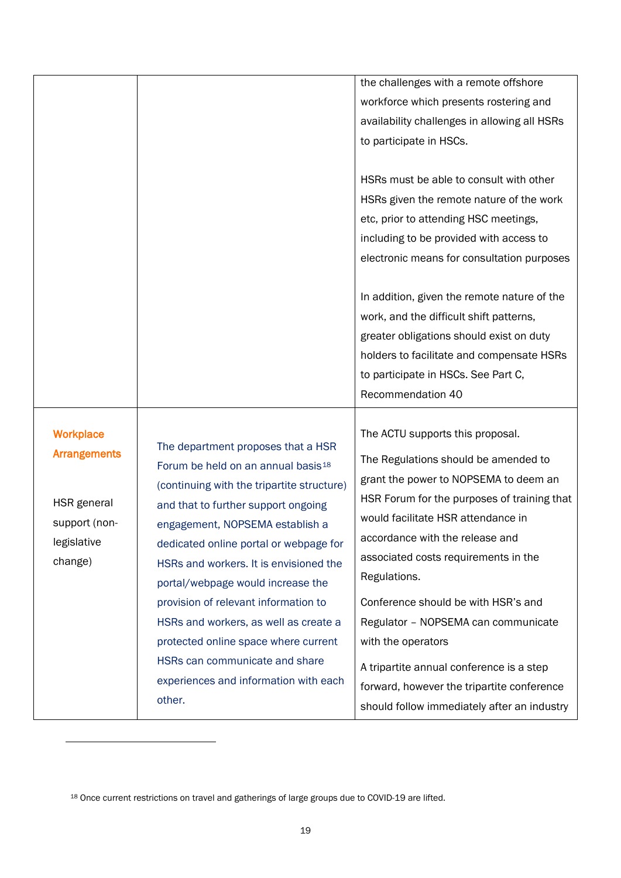|                                                                                                   |                                                                                                                                                                                                                                                                                                                                                                                                                                                                                                                                                     | the challenges with a remote offshore<br>workforce which presents rostering and<br>availability challenges in allowing all HSRs<br>to participate in HSCs.<br>HSRs must be able to consult with other<br>HSRs given the remote nature of the work<br>etc, prior to attending HSC meetings,<br>including to be provided with access to<br>electronic means for consultation purposes<br>In addition, given the remote nature of the<br>work, and the difficult shift patterns,<br>greater obligations should exist on duty<br>holders to facilitate and compensate HSRs<br>to participate in HSCs. See Part C,<br>Recommendation 40 |
|---------------------------------------------------------------------------------------------------|-----------------------------------------------------------------------------------------------------------------------------------------------------------------------------------------------------------------------------------------------------------------------------------------------------------------------------------------------------------------------------------------------------------------------------------------------------------------------------------------------------------------------------------------------------|------------------------------------------------------------------------------------------------------------------------------------------------------------------------------------------------------------------------------------------------------------------------------------------------------------------------------------------------------------------------------------------------------------------------------------------------------------------------------------------------------------------------------------------------------------------------------------------------------------------------------------|
| <b>Workplace</b><br><b>Arrangements</b><br>HSR general<br>support (non-<br>legislative<br>change) | The department proposes that a HSR<br>Forum be held on an annual basis <sup>18</sup><br>(continuing with the tripartite structure)<br>and that to further support ongoing<br>engagement, NOPSEMA establish a<br>dedicated online portal or webpage for<br>HSRs and workers. It is envisioned the<br>portal/webpage would increase the<br>provision of relevant information to<br>HSRs and workers, as well as create a<br>protected online space where current<br>HSRs can communicate and share<br>experiences and information with each<br>other. | The ACTU supports this proposal.<br>The Regulations should be amended to<br>grant the power to NOPSEMA to deem an<br>HSR Forum for the purposes of training that<br>would facilitate HSR attendance in<br>accordance with the release and<br>associated costs requirements in the<br>Regulations.<br>Conference should be with HSR's and<br>Regulator - NOPSEMA can communicate<br>with the operators<br>A tripartite annual conference is a step<br>forward, however the tripartite conference<br>should follow immediately after an industry                                                                                     |

<span id="page-20-0"></span><sup>18</sup> Once current restrictions on travel and gatherings of large groups due to COVID-19 are lifted.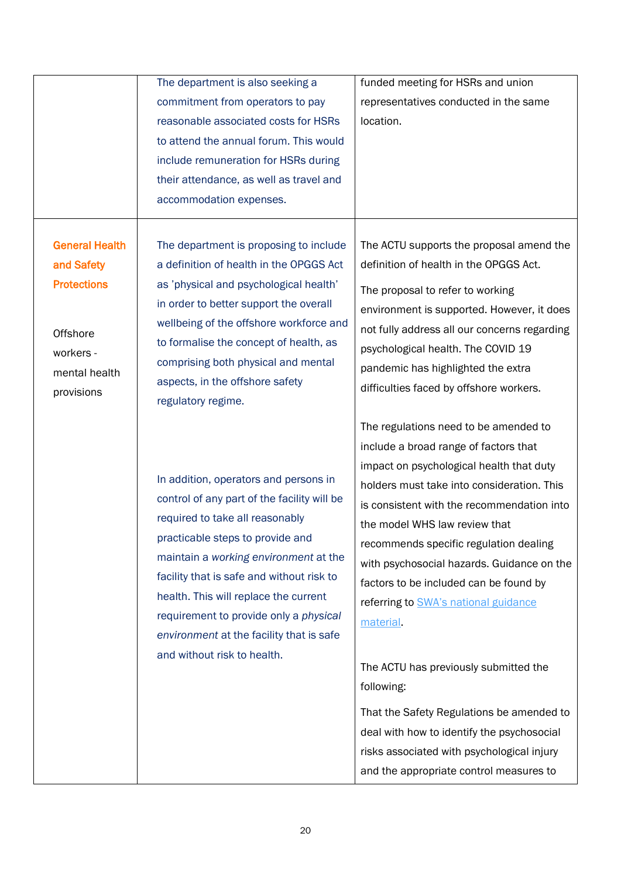|                                                                                                                   | The department is also seeking a<br>commitment from operators to pay<br>reasonable associated costs for HSRs<br>to attend the annual forum. This would<br>include remuneration for HSRs during<br>their attendance, as well as travel and                                                                                                                                                                       | funded meeting for HSRs and union<br>representatives conducted in the same<br>location.                                                                                                                                                                                                                                                                                                                                                                                                                                                                                                                                                                                                  |
|-------------------------------------------------------------------------------------------------------------------|-----------------------------------------------------------------------------------------------------------------------------------------------------------------------------------------------------------------------------------------------------------------------------------------------------------------------------------------------------------------------------------------------------------------|------------------------------------------------------------------------------------------------------------------------------------------------------------------------------------------------------------------------------------------------------------------------------------------------------------------------------------------------------------------------------------------------------------------------------------------------------------------------------------------------------------------------------------------------------------------------------------------------------------------------------------------------------------------------------------------|
| <b>General Health</b><br>and Safety<br><b>Protections</b><br>Offshore<br>workers -<br>mental health<br>provisions | accommodation expenses.<br>The department is proposing to include<br>a definition of health in the OPGGS Act<br>as 'physical and psychological health'<br>in order to better support the overall<br>wellbeing of the offshore workforce and<br>to formalise the concept of health, as<br>comprising both physical and mental<br>aspects, in the offshore safety<br>regulatory regime.                           | The ACTU supports the proposal amend the<br>definition of health in the OPGGS Act.<br>The proposal to refer to working<br>environment is supported. However, it does<br>not fully address all our concerns regarding<br>psychological health. The COVID 19<br>pandemic has highlighted the extra<br>difficulties faced by offshore workers.                                                                                                                                                                                                                                                                                                                                              |
|                                                                                                                   | In addition, operators and persons in<br>control of any part of the facility will be<br>required to take all reasonably<br>practicable steps to provide and<br>maintain a working environment at the<br>facility that is safe and without risk to<br>health. This will replace the current<br>requirement to provide only a physical<br>environment at the facility that is safe<br>and without risk to health. | The regulations need to be amended to<br>include a broad range of factors that<br>impact on psychological health that duty<br>holders must take into consideration. This<br>is consistent with the recommendation into<br>the model WHS law review that<br>recommends specific regulation dealing<br>with psychosocial hazards. Guidance on the<br>factors to be included can be found by<br>referring to SWA's national guidance<br>material<br>The ACTU has previously submitted the<br>following:<br>That the Safety Regulations be amended to<br>deal with how to identify the psychosocial<br>risks associated with psychological injury<br>and the appropriate control measures to |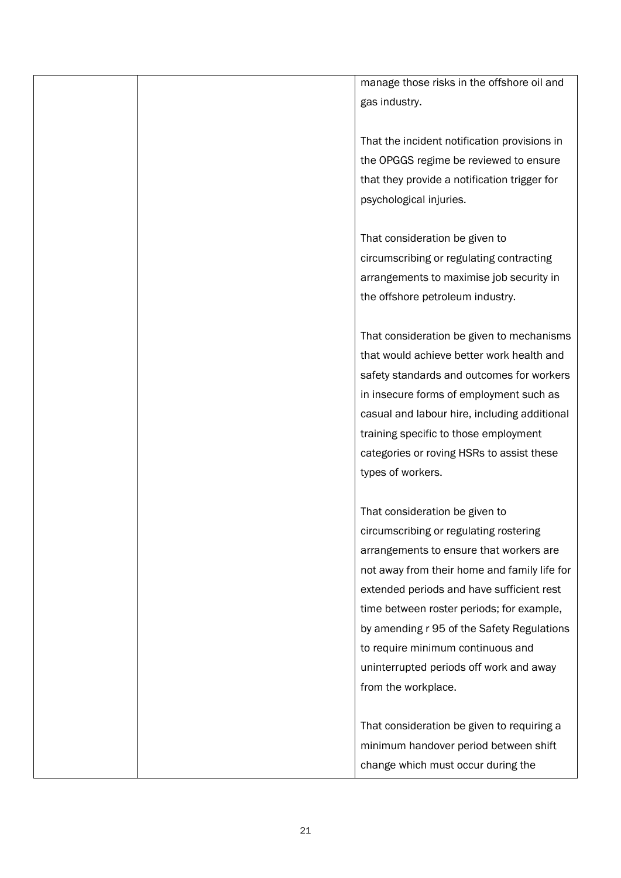manage those risks in the offshore oil and gas industry.

That the incident notification provisions in the OPGGS regime be reviewed to ensure that they provide a notification trigger for psychological injuries.

That consideration be given to circumscribing or regulating contracting arrangements to maximise job security in the offshore petroleum industry.

That consideration be given to mechanisms that would achieve better work health and safety standards and outcomes for workers in insecure forms of employment such as casual and labour hire, including additional training specific to those employment categories or roving HSRs to assist these types of workers.

That consideration be given to circumscribing or regulating rostering arrangements to ensure that workers are not away from their home and family life for extended periods and have sufficient rest time between roster periods; for example, by amending r 95 of the Safety Regulations to require minimum continuous and uninterrupted periods off work and away from the workplace.

That consideration be given to requiring a minimum handover period between shift change which must occur during the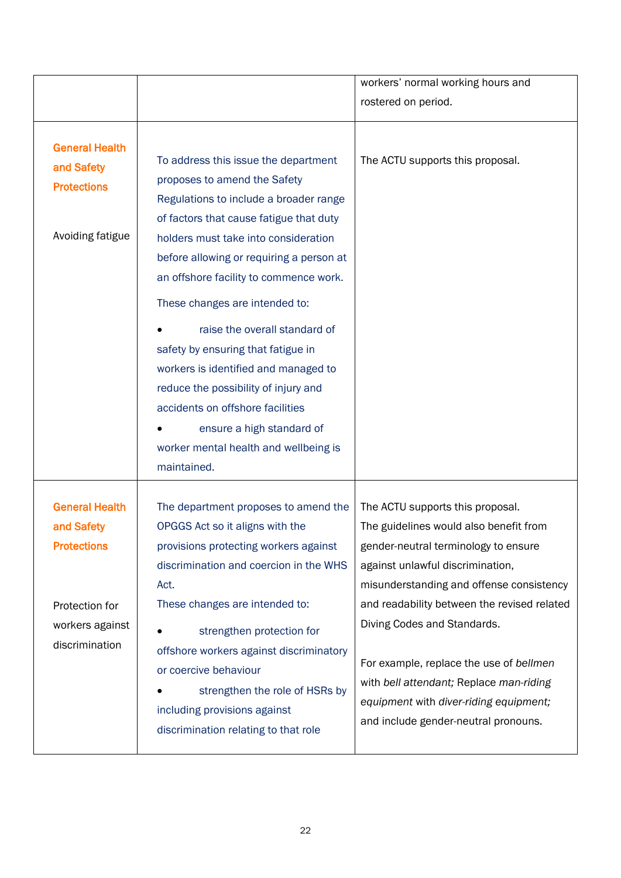|                                                                                                                  |                                                                                                                                                                                                                                                                                                                                                                                                                                                                                                                                                                                                           | workers' normal working hours and                                                                                                                                                                                                                                                                                                                                                                                                                        |
|------------------------------------------------------------------------------------------------------------------|-----------------------------------------------------------------------------------------------------------------------------------------------------------------------------------------------------------------------------------------------------------------------------------------------------------------------------------------------------------------------------------------------------------------------------------------------------------------------------------------------------------------------------------------------------------------------------------------------------------|----------------------------------------------------------------------------------------------------------------------------------------------------------------------------------------------------------------------------------------------------------------------------------------------------------------------------------------------------------------------------------------------------------------------------------------------------------|
|                                                                                                                  |                                                                                                                                                                                                                                                                                                                                                                                                                                                                                                                                                                                                           | rostered on period.                                                                                                                                                                                                                                                                                                                                                                                                                                      |
| <b>General Health</b><br>and Safety<br><b>Protections</b><br>Avoiding fatigue                                    | To address this issue the department<br>proposes to amend the Safety<br>Regulations to include a broader range<br>of factors that cause fatigue that duty<br>holders must take into consideration<br>before allowing or requiring a person at<br>an offshore facility to commence work.<br>These changes are intended to:<br>raise the overall standard of<br>safety by ensuring that fatigue in<br>workers is identified and managed to<br>reduce the possibility of injury and<br>accidents on offshore facilities<br>ensure a high standard of<br>worker mental health and wellbeing is<br>maintained. | The ACTU supports this proposal.                                                                                                                                                                                                                                                                                                                                                                                                                         |
| <b>General Health</b><br>and Safety<br><b>Protections</b><br>Protection for<br>workers against<br>discrimination | The department proposes to amend the<br>OPGGS Act so it aligns with the<br>provisions protecting workers against<br>discrimination and coercion in the WHS<br>Act.<br>These changes are intended to:<br>strengthen protection for<br>offshore workers against discriminatory<br>or coercive behaviour<br>strengthen the role of HSRs by<br>including provisions against<br>discrimination relating to that role                                                                                                                                                                                           | The ACTU supports this proposal.<br>The guidelines would also benefit from<br>gender-neutral terminology to ensure<br>against unlawful discrimination,<br>misunderstanding and offense consistency<br>and readability between the revised related<br>Diving Codes and Standards.<br>For example, replace the use of bellmen<br>with bell attendant; Replace man-riding<br>equipment with diver-riding equipment;<br>and include gender-neutral pronouns. |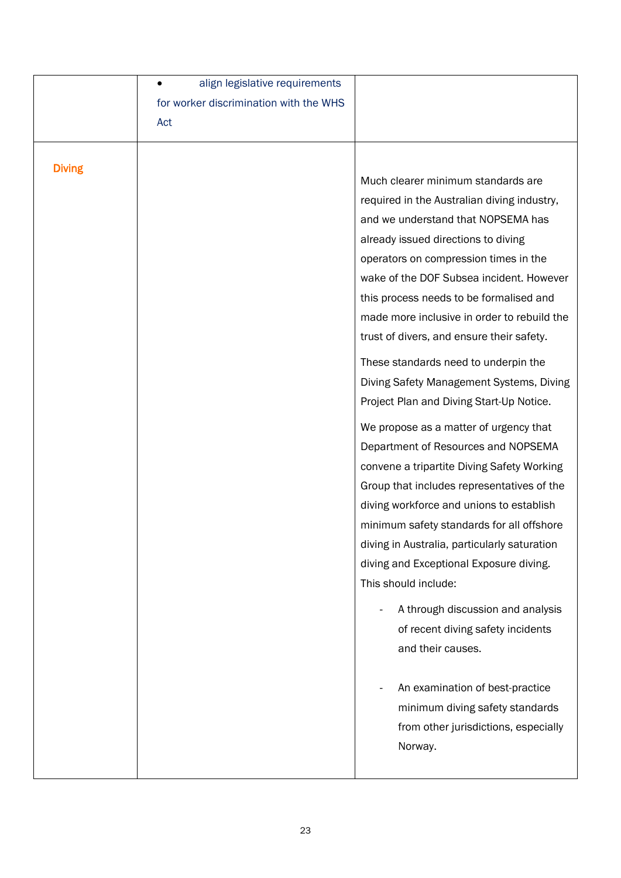|               | align legislative requirements         |                                              |
|---------------|----------------------------------------|----------------------------------------------|
|               | for worker discrimination with the WHS |                                              |
|               | Act                                    |                                              |
|               |                                        |                                              |
| <b>Diving</b> |                                        |                                              |
|               |                                        | Much clearer minimum standards are           |
|               |                                        | required in the Australian diving industry,  |
|               |                                        | and we understand that NOPSEMA has           |
|               |                                        | already issued directions to diving          |
|               |                                        | operators on compression times in the        |
|               |                                        | wake of the DOF Subsea incident. However     |
|               |                                        | this process needs to be formalised and      |
|               |                                        | made more inclusive in order to rebuild the  |
|               |                                        | trust of divers, and ensure their safety.    |
|               |                                        | These standards need to underpin the         |
|               |                                        | Diving Safety Management Systems, Diving     |
|               |                                        | Project Plan and Diving Start-Up Notice.     |
|               |                                        | We propose as a matter of urgency that       |
|               |                                        | Department of Resources and NOPSEMA          |
|               |                                        | convene a tripartite Diving Safety Working   |
|               |                                        | Group that includes representatives of the   |
|               |                                        | diving workforce and unions to establish     |
|               |                                        | minimum safety standards for all offshore    |
|               |                                        | diving in Australia, particularly saturation |
|               |                                        | diving and Exceptional Exposure diving.      |
|               |                                        | This should include:                         |
|               |                                        | A through discussion and analysis            |
|               |                                        | of recent diving safety incidents            |
|               |                                        | and their causes.                            |
|               |                                        |                                              |
|               |                                        | An examination of best-practice              |
|               |                                        | minimum diving safety standards              |
|               |                                        | from other jurisdictions, especially         |
|               |                                        | Norway.                                      |
|               |                                        |                                              |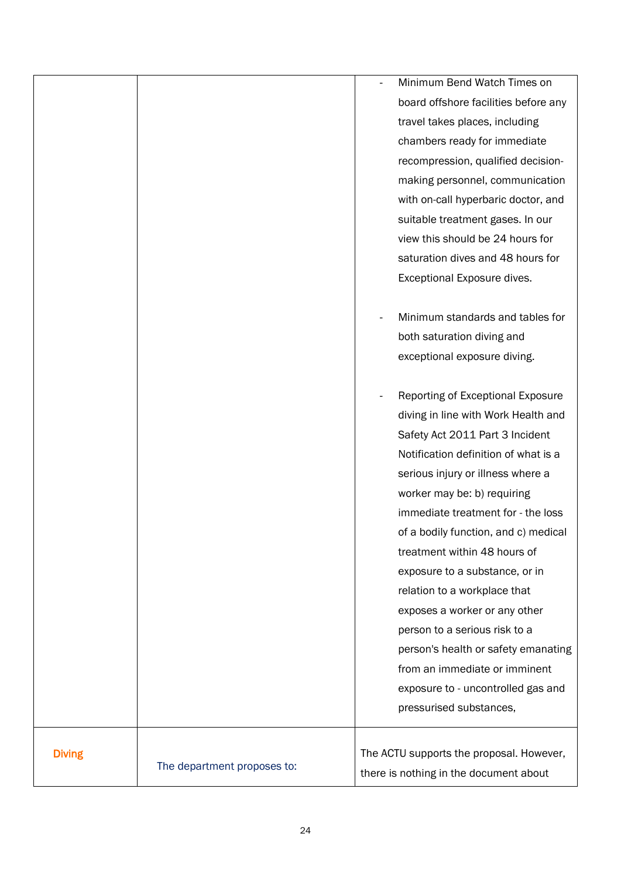|               |                             | Minimum Bend Watch Times on              |
|---------------|-----------------------------|------------------------------------------|
|               |                             | board offshore facilities before any     |
|               |                             | travel takes places, including           |
|               |                             | chambers ready for immediate             |
|               |                             | recompression, qualified decision-       |
|               |                             | making personnel, communication          |
|               |                             | with on-call hyperbaric doctor, and      |
|               |                             | suitable treatment gases. In our         |
|               |                             | view this should be 24 hours for         |
|               |                             | saturation dives and 48 hours for        |
|               |                             | Exceptional Exposure dives.              |
|               |                             |                                          |
|               |                             | Minimum standards and tables for         |
|               |                             | both saturation diving and               |
|               |                             | exceptional exposure diving.             |
|               |                             |                                          |
|               |                             | Reporting of Exceptional Exposure        |
|               |                             | diving in line with Work Health and      |
|               |                             | Safety Act 2011 Part 3 Incident          |
|               |                             | Notification definition of what is a     |
|               |                             | serious injury or illness where a        |
|               |                             | worker may be: b) requiring              |
|               |                             | immediate treatment for - the loss       |
|               |                             | of a bodily function, and c) medical     |
|               |                             | treatment within 48 hours of             |
|               |                             | exposure to a substance, or in           |
|               |                             | relation to a workplace that             |
|               |                             | exposes a worker or any other            |
|               |                             | person to a serious risk to a            |
|               |                             | person's health or safety emanating      |
|               |                             | from an immediate or imminent            |
|               |                             | exposure to - uncontrolled gas and       |
|               |                             | pressurised substances,                  |
| <b>Diving</b> |                             | The ACTU supports the proposal. However, |
|               | The department proposes to: | there is nothing in the document about   |
|               |                             |                                          |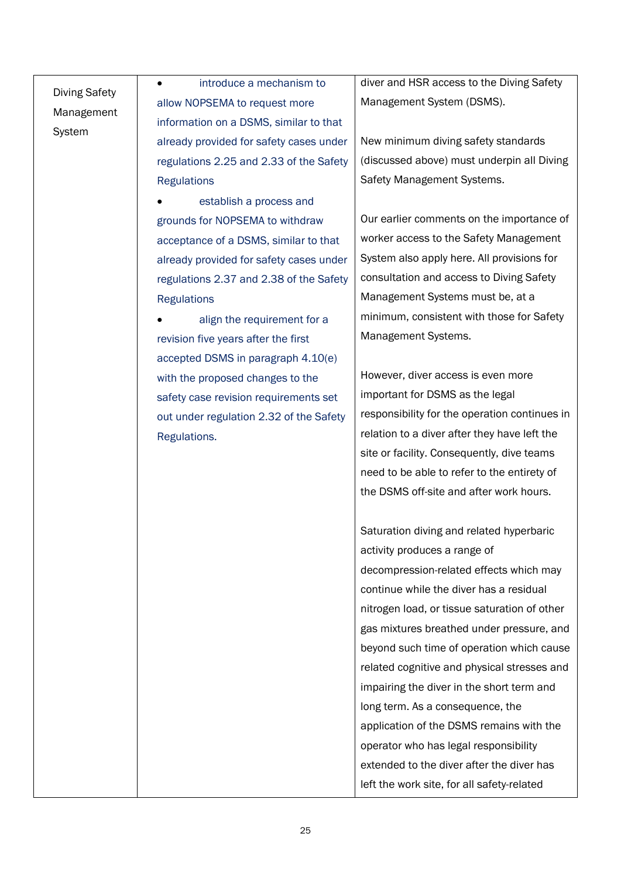## Diving Safety Management System

• introduce a mechanism to allow NOPSEMA to request more information on a DSMS, similar to that already provided for safety cases under regulations 2.25 and 2.33 of the Safety **Regulations** 

establish a process and grounds for NOPSEMA to withdraw acceptance of a DSMS, similar to that already provided for safety cases under regulations 2.37 and 2.38 of the Safety **Regulations** 

align the requirement for a revision five years after the first accepted DSMS in paragraph 4.10(e) with the proposed changes to the safety case revision requirements set out under regulation 2.32 of the Safety Regulations.

diver and HSR access to the Diving Safety Management System (DSMS).

New minimum diving safety standards (discussed above) must underpin all Diving Safety Management Systems.

Our earlier comments on the importance of worker access to the Safety Management System also apply here. All provisions for consultation and access to Diving Safety Management Systems must be, at a minimum, consistent with those for Safety Management Systems.

However, diver access is even more important for DSMS as the legal responsibility for the operation continues in relation to a diver after they have left the site or facility. Consequently, dive teams need to be able to refer to the entirety of the DSMS off-site and after work hours.

Saturation diving and related hyperbaric activity produces a range of decompression-related effects which may continue while the diver has a residual nitrogen load, or tissue saturation of other gas mixtures breathed under pressure, and beyond such time of operation which cause related cognitive and physical stresses and impairing the diver in the short term and long term. As a consequence, the application of the DSMS remains with the operator who has legal responsibility extended to the diver after the diver has left the work site, for all safety-related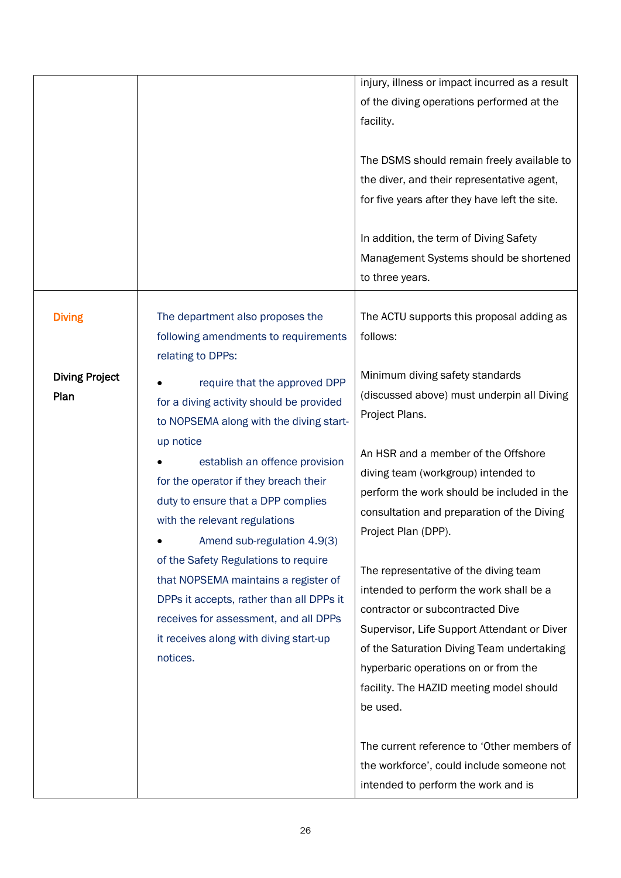|                               |                                                                                                                                                                                                                         | injury, illness or impact incurred as a result<br>of the diving operations performed at the<br>facility.<br>The DSMS should remain freely available to<br>the diver, and their representative agent,<br>for five years after they have left the site.<br>In addition, the term of Diving Safety<br>Management Systems should be shortened<br>to three years. |
|-------------------------------|-------------------------------------------------------------------------------------------------------------------------------------------------------------------------------------------------------------------------|--------------------------------------------------------------------------------------------------------------------------------------------------------------------------------------------------------------------------------------------------------------------------------------------------------------------------------------------------------------|
| <b>Diving</b>                 | The department also proposes the<br>following amendments to requirements<br>relating to DPPs:                                                                                                                           | The ACTU supports this proposal adding as<br>follows:                                                                                                                                                                                                                                                                                                        |
| <b>Diving Project</b><br>Plan | require that the approved DPP<br>for a diving activity should be provided<br>to NOPSEMA along with the diving start-                                                                                                    | Minimum diving safety standards<br>(discussed above) must underpin all Diving<br>Project Plans.                                                                                                                                                                                                                                                              |
|                               | up notice<br>establish an offence provision<br>for the operator if they breach their<br>duty to ensure that a DPP complies<br>with the relevant regulations<br>Amend sub-regulation 4.9(3)                              | An HSR and a member of the Offshore<br>diving team (workgroup) intended to<br>perform the work should be included in the<br>consultation and preparation of the Diving<br>Project Plan (DPP).                                                                                                                                                                |
|                               | of the Safety Regulations to require<br>that NOPSEMA maintains a register of<br>DPPs it accepts, rather than all DPPs it<br>receives for assessment, and all DPPs<br>it receives along with diving start-up<br>notices. | The representative of the diving team<br>intended to perform the work shall be a<br>contractor or subcontracted Dive<br>Supervisor, Life Support Attendant or Diver<br>of the Saturation Diving Team undertaking<br>hyperbaric operations on or from the<br>facility. The HAZID meeting model should<br>be used.                                             |
|                               |                                                                                                                                                                                                                         | The current reference to 'Other members of<br>the workforce', could include someone not<br>intended to perform the work and is                                                                                                                                                                                                                               |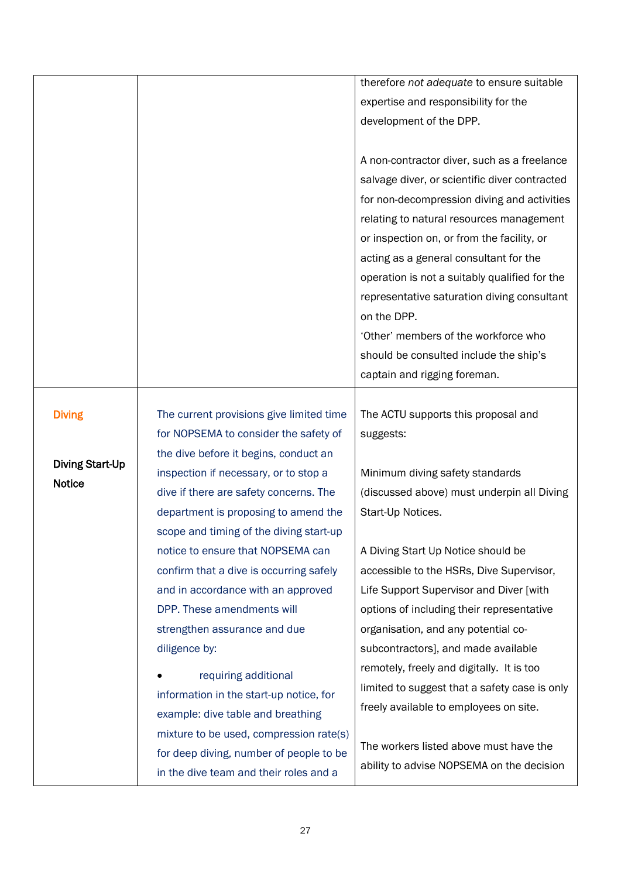|                        |                                          | therefore not adequate to ensure suitable     |
|------------------------|------------------------------------------|-----------------------------------------------|
|                        |                                          | expertise and responsibility for the          |
|                        |                                          | development of the DPP.                       |
|                        |                                          |                                               |
|                        |                                          | A non-contractor diver, such as a freelance   |
|                        |                                          | salvage diver, or scientific diver contracted |
|                        |                                          | for non-decompression diving and activities   |
|                        |                                          | relating to natural resources management      |
|                        |                                          | or inspection on, or from the facility, or    |
|                        |                                          | acting as a general consultant for the        |
|                        |                                          | operation is not a suitably qualified for the |
|                        |                                          | representative saturation diving consultant   |
|                        |                                          | on the DPP.                                   |
|                        |                                          | 'Other' members of the workforce who          |
|                        |                                          | should be consulted include the ship's        |
|                        |                                          | captain and rigging foreman.                  |
|                        |                                          |                                               |
| <b>Diving</b>          | The current provisions give limited time | The ACTU supports this proposal and           |
|                        | for NOPSEMA to consider the safety of    | suggests:                                     |
| <b>Diving Start-Up</b> | the dive before it begins, conduct an    |                                               |
| <b>Notice</b>          | inspection if necessary, or to stop a    | Minimum diving safety standards               |
|                        | dive if there are safety concerns. The   | (discussed above) must underpin all Diving    |
|                        | department is proposing to amend the     | Start-Up Notices.                             |
|                        | scope and timing of the diving start-up  |                                               |
|                        | notice to ensure that NOPSEMA can        | A Diving Start Up Notice should be            |
|                        | confirm that a dive is occurring safely  | accessible to the HSRs, Dive Supervisor,      |
|                        | and in accordance with an approved       | Life Support Supervisor and Diver [with       |
|                        | DPP. These amendments will               | options of including their representative     |
|                        | strengthen assurance and due             | organisation, and any potential co-           |
|                        | diligence by:                            | subcontractors], and made available           |
|                        | requiring additional                     | remotely, freely and digitally. It is too     |
|                        | information in the start-up notice, for  | limited to suggest that a safety case is only |
|                        | example: dive table and breathing        | freely available to employees on site.        |
|                        | mixture to be used, compression rate(s)  |                                               |
|                        | for deep diving, number of people to be  | The workers listed above must have the        |
|                        | in the dive team and their roles and a   | ability to advise NOPSEMA on the decision     |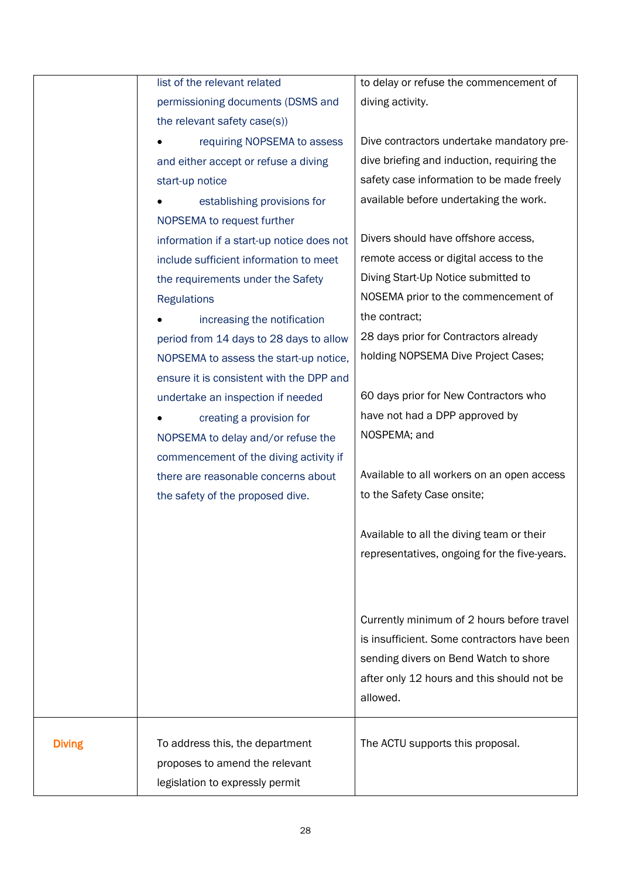|               | list of the relevant related              | to delay or refuse the commencement of       |
|---------------|-------------------------------------------|----------------------------------------------|
|               | permissioning documents (DSMS and         | diving activity.                             |
|               | the relevant safety case(s))              |                                              |
|               | requiring NOPSEMA to assess               | Dive contractors undertake mandatory pre-    |
|               | and either accept or refuse a diving      | dive briefing and induction, requiring the   |
|               | start-up notice                           | safety case information to be made freely    |
|               | establishing provisions for               | available before undertaking the work.       |
|               | NOPSEMA to request further                |                                              |
|               | information if a start-up notice does not | Divers should have offshore access,          |
|               | include sufficient information to meet    | remote access or digital access to the       |
|               | the requirements under the Safety         | Diving Start-Up Notice submitted to          |
|               | <b>Regulations</b>                        | NOSEMA prior to the commencement of          |
|               | increasing the notification               | the contract;                                |
|               | period from 14 days to 28 days to allow   | 28 days prior for Contractors already        |
|               | NOPSEMA to assess the start-up notice,    | holding NOPSEMA Dive Project Cases;          |
|               | ensure it is consistent with the DPP and  |                                              |
|               | undertake an inspection if needed         | 60 days prior for New Contractors who        |
|               | creating a provision for                  | have not had a DPP approved by               |
|               | NOPSEMA to delay and/or refuse the        | NOSPEMA; and                                 |
|               | commencement of the diving activity if    |                                              |
|               | there are reasonable concerns about       | Available to all workers on an open access   |
|               | the safety of the proposed dive.          | to the Safety Case onsite;                   |
|               |                                           |                                              |
|               |                                           | Available to all the diving team or their    |
|               |                                           | representatives, ongoing for the five-years. |
|               |                                           |                                              |
|               |                                           |                                              |
|               |                                           | Currently minimum of 2 hours before travel   |
|               |                                           | is insufficient. Some contractors have been  |
|               |                                           | sending divers on Bend Watch to shore        |
|               |                                           | after only 12 hours and this should not be   |
|               |                                           | allowed.                                     |
|               |                                           |                                              |
| <b>Diving</b> | To address this, the department           | The ACTU supports this proposal.             |
|               | proposes to amend the relevant            |                                              |
|               | legislation to expressly permit           |                                              |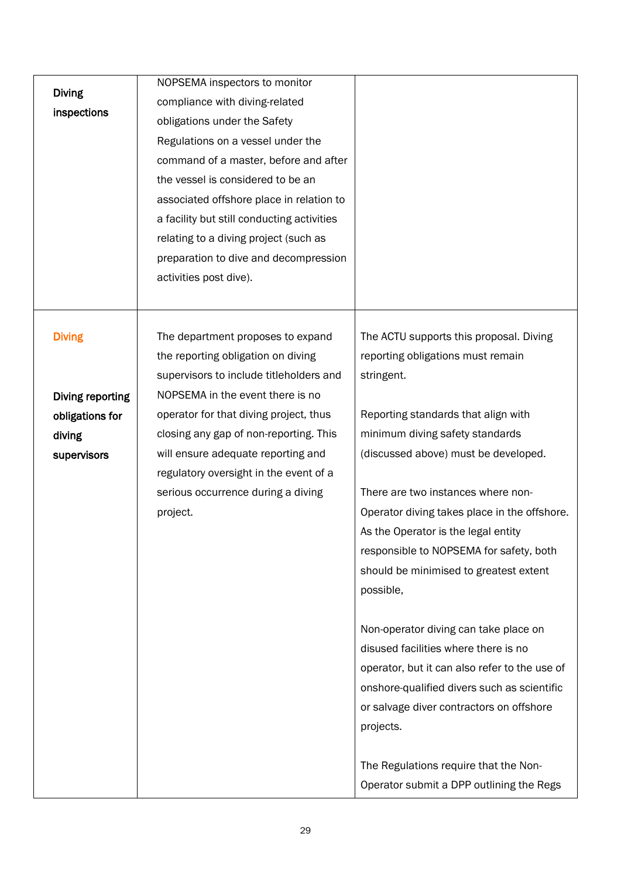| <b>Diving</b><br>inspections | NOPSEMA inspectors to monitor<br>compliance with diving-related<br>obligations under the Safety<br>Regulations on a vessel under the<br>command of a master, before and after<br>the vessel is considered to be an<br>associated offshore place in relation to<br>a facility but still conducting activities<br>relating to a diving project (such as<br>preparation to dive and decompression<br>activities post dive). |                                                                                            |
|------------------------------|--------------------------------------------------------------------------------------------------------------------------------------------------------------------------------------------------------------------------------------------------------------------------------------------------------------------------------------------------------------------------------------------------------------------------|--------------------------------------------------------------------------------------------|
| <b>Diving</b>                | The department proposes to expand<br>the reporting obligation on diving<br>supervisors to include titleholders and                                                                                                                                                                                                                                                                                                       | The ACTU supports this proposal. Diving<br>reporting obligations must remain<br>stringent. |
| Diving reporting             | NOPSEMA in the event there is no                                                                                                                                                                                                                                                                                                                                                                                         |                                                                                            |
| obligations for              | operator for that diving project, thus                                                                                                                                                                                                                                                                                                                                                                                   | Reporting standards that align with                                                        |
| diving                       | closing any gap of non-reporting. This                                                                                                                                                                                                                                                                                                                                                                                   | minimum diving safety standards                                                            |
| supervisors                  | will ensure adequate reporting and                                                                                                                                                                                                                                                                                                                                                                                       | (discussed above) must be developed.                                                       |
|                              | regulatory oversight in the event of a                                                                                                                                                                                                                                                                                                                                                                                   |                                                                                            |
|                              | serious occurrence during a diving                                                                                                                                                                                                                                                                                                                                                                                       | There are two instances where non-                                                         |
|                              | project.                                                                                                                                                                                                                                                                                                                                                                                                                 | Operator diving takes place in the offshore.                                               |
|                              |                                                                                                                                                                                                                                                                                                                                                                                                                          | As the Operator is the legal entity                                                        |
|                              |                                                                                                                                                                                                                                                                                                                                                                                                                          | responsible to NOPSEMA for safety, both                                                    |
|                              |                                                                                                                                                                                                                                                                                                                                                                                                                          | should be minimised to greatest extent                                                     |
|                              |                                                                                                                                                                                                                                                                                                                                                                                                                          | possible,                                                                                  |
|                              |                                                                                                                                                                                                                                                                                                                                                                                                                          |                                                                                            |
|                              |                                                                                                                                                                                                                                                                                                                                                                                                                          | Non-operator diving can take place on                                                      |
|                              |                                                                                                                                                                                                                                                                                                                                                                                                                          | disused facilities where there is no                                                       |
|                              |                                                                                                                                                                                                                                                                                                                                                                                                                          | operator, but it can also refer to the use of                                              |
|                              |                                                                                                                                                                                                                                                                                                                                                                                                                          | onshore-qualified divers such as scientific                                                |
|                              |                                                                                                                                                                                                                                                                                                                                                                                                                          | or salvage diver contractors on offshore<br>projects.                                      |
|                              |                                                                                                                                                                                                                                                                                                                                                                                                                          |                                                                                            |
|                              |                                                                                                                                                                                                                                                                                                                                                                                                                          | The Regulations require that the Non-                                                      |
|                              |                                                                                                                                                                                                                                                                                                                                                                                                                          | Operator submit a DPP outlining the Regs                                                   |
|                              |                                                                                                                                                                                                                                                                                                                                                                                                                          |                                                                                            |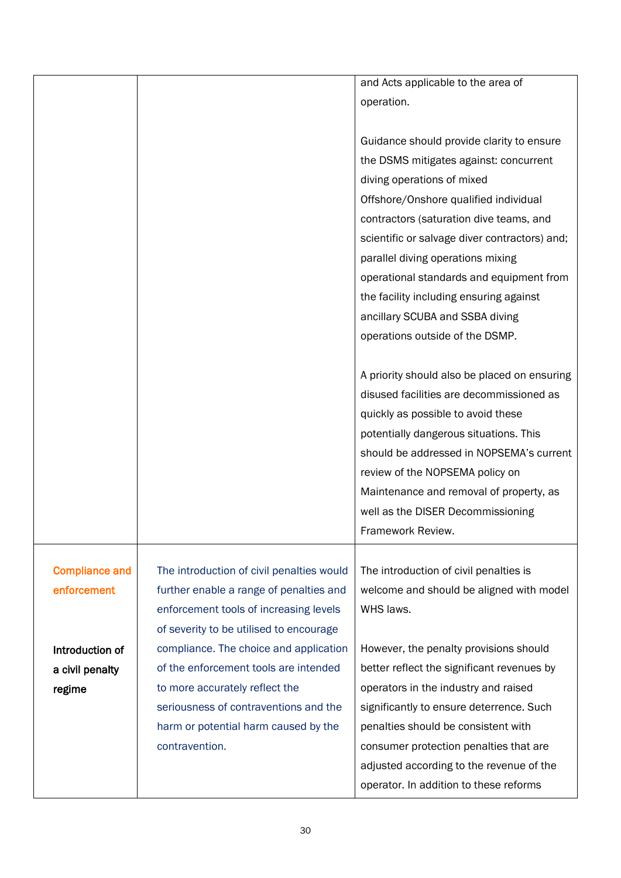|                       |                                           | and Acts applicable to the area of            |
|-----------------------|-------------------------------------------|-----------------------------------------------|
|                       |                                           | operation.                                    |
|                       |                                           |                                               |
|                       |                                           |                                               |
|                       |                                           | Guidance should provide clarity to ensure     |
|                       |                                           | the DSMS mitigates against: concurrent        |
|                       |                                           | diving operations of mixed                    |
|                       |                                           | Offshore/Onshore qualified individual         |
|                       |                                           | contractors (saturation dive teams, and       |
|                       |                                           | scientific or salvage diver contractors) and; |
|                       |                                           | parallel diving operations mixing             |
|                       |                                           | operational standards and equipment from      |
|                       |                                           | the facility including ensuring against       |
|                       |                                           | ancillary SCUBA and SSBA diving               |
|                       |                                           | operations outside of the DSMP.               |
|                       |                                           |                                               |
|                       |                                           | A priority should also be placed on ensuring  |
|                       |                                           | disused facilities are decommissioned as      |
|                       |                                           | quickly as possible to avoid these            |
|                       |                                           | potentially dangerous situations. This        |
|                       |                                           | should be addressed in NOPSEMA's current      |
|                       |                                           | review of the NOPSEMA policy on               |
|                       |                                           | Maintenance and removal of property, as       |
|                       |                                           | well as the DISER Decommissioning             |
|                       |                                           | Framework Review.                             |
|                       |                                           |                                               |
| <b>Compliance and</b> | The introduction of civil penalties would | The introduction of civil penalties is        |
| enforcement           | further enable a range of penalties and   | welcome and should be aligned with model      |
|                       | enforcement tools of increasing levels    | WHS laws.                                     |
|                       | of severity to be utilised to encourage   |                                               |
| Introduction of       | compliance. The choice and application    | However, the penalty provisions should        |
| a civil penalty       | of the enforcement tools are intended     | better reflect the significant revenues by    |
| regime                | to more accurately reflect the            | operators in the industry and raised          |
|                       | seriousness of contraventions and the     | significantly to ensure deterrence. Such      |
|                       | harm or potential harm caused by the      | penalties should be consistent with           |
|                       | contravention.                            | consumer protection penalties that are        |
|                       |                                           | adjusted according to the revenue of the      |
|                       |                                           |                                               |
|                       |                                           | operator. In addition to these reforms        |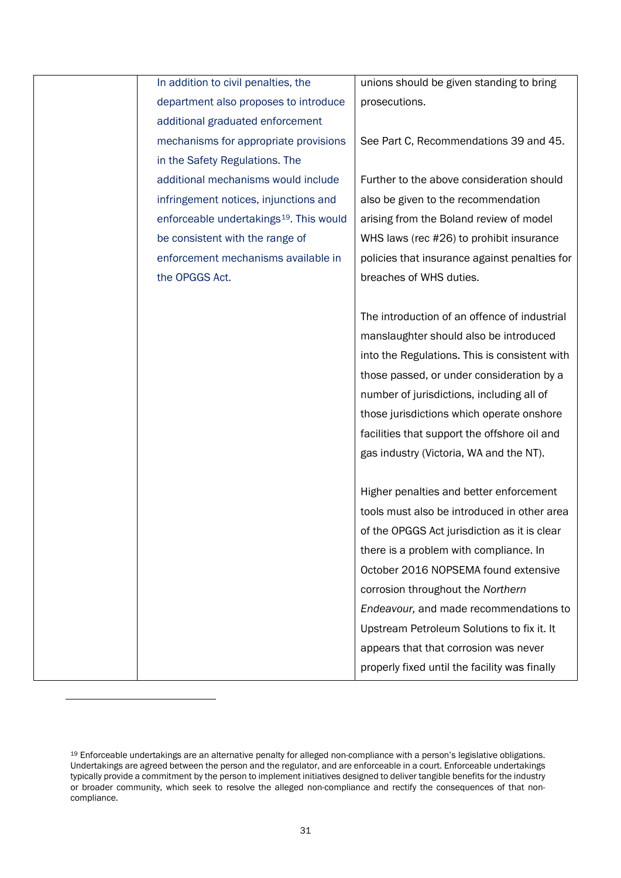|                | In addition to civil penalties, the                 | unions should be given standing to bring      |
|----------------|-----------------------------------------------------|-----------------------------------------------|
|                | department also proposes to introduce               | prosecutions.                                 |
|                | additional graduated enforcement                    |                                               |
|                | mechanisms for appropriate provisions               | See Part C, Recommendations 39 and 45.        |
|                | in the Safety Regulations. The                      |                                               |
|                | additional mechanisms would include                 | Further to the above consideration should     |
|                | infringement notices, injunctions and               | also be given to the recommendation           |
|                | enforceable undertakings <sup>19</sup> . This would | arising from the Boland review of model       |
|                | be consistent with the range of                     | WHS laws (rec #26) to prohibit insurance      |
|                | enforcement mechanisms available in                 | policies that insurance against penalties for |
| the OPGGS Act. |                                                     | breaches of WHS duties.                       |
|                |                                                     |                                               |
|                |                                                     | The introduction of an offence of industrial  |
|                |                                                     | manslaughter should also be introduced        |
|                |                                                     | into the Regulations. This is consistent with |
|                |                                                     | those passed, or under consideration by a     |
|                |                                                     | number of jurisdictions, including all of     |
|                |                                                     | those jurisdictions which operate onshore     |
|                |                                                     | facilities that support the offshore oil and  |
|                |                                                     | gas industry (Victoria, WA and the NT).       |
|                |                                                     |                                               |
|                |                                                     | Higher penalties and better enforcement       |
|                |                                                     | tools must also be introduced in other area   |
|                |                                                     | of the OPGGS Act jurisdiction as it is clear  |
|                |                                                     | there is a problem with compliance. In        |
|                |                                                     | October 2016 NOPSEMA found extensive          |
|                |                                                     | corrosion throughout the Northern             |
|                |                                                     | Endeavour, and made recommendations to        |
|                |                                                     | Upstream Petroleum Solutions to fix it. It    |
|                |                                                     | appears that that corrosion was never         |
|                |                                                     | properly fixed until the facility was finally |

<span id="page-32-0"></span><sup>19</sup> Enforceable undertakings are an alternative penalty for alleged non-compliance with a person's legislative obligations. Undertakings are agreed between the person and the regulator, and are enforceable in a court. Enforceable undertakings typically provide a commitment by the person to implement initiatives designed to deliver tangible benefits for the industry or broader community, which seek to resolve the alleged non-compliance and rectify the consequences of that noncompliance.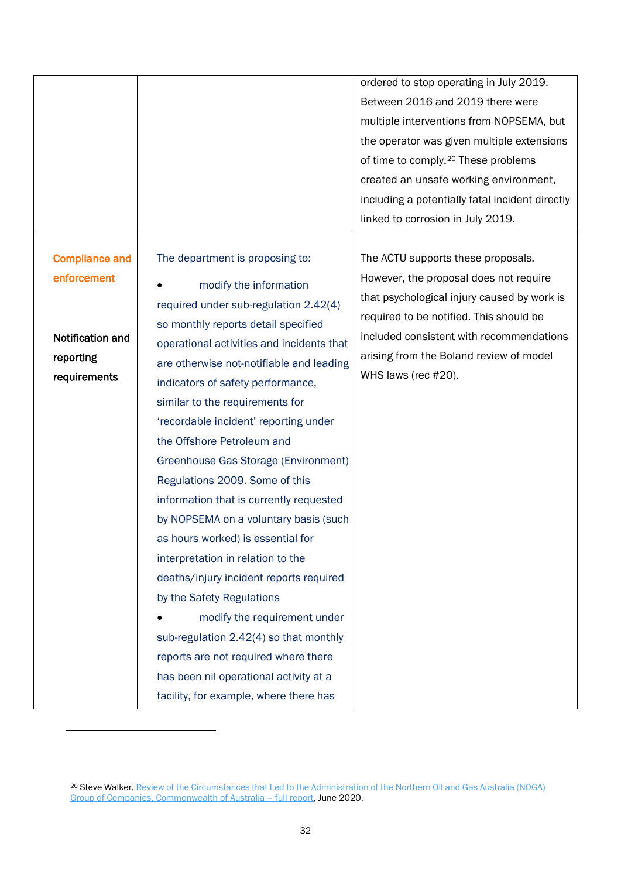|                                                                                       |                                                                                                                                                                                                                                                                                                                                                                                                                                                                                                                                                                                                                                                                                                                                                                                                                                                               | ordered to stop operating in July 2019.<br>Between 2016 and 2019 there were<br>multiple interventions from NOPSEMA, but<br>the operator was given multiple extensions<br>of time to comply. <sup>20</sup> These problems<br>created an unsafe working environment,<br>including a potentially fatal incident directly<br>linked to corrosion in July 2019. |
|---------------------------------------------------------------------------------------|---------------------------------------------------------------------------------------------------------------------------------------------------------------------------------------------------------------------------------------------------------------------------------------------------------------------------------------------------------------------------------------------------------------------------------------------------------------------------------------------------------------------------------------------------------------------------------------------------------------------------------------------------------------------------------------------------------------------------------------------------------------------------------------------------------------------------------------------------------------|------------------------------------------------------------------------------------------------------------------------------------------------------------------------------------------------------------------------------------------------------------------------------------------------------------------------------------------------------------|
| <b>Compliance and</b><br>enforcement<br>Notification and<br>reporting<br>requirements | The department is proposing to:<br>modify the information<br>required under sub-regulation 2.42(4)<br>so monthly reports detail specified<br>operational activities and incidents that<br>are otherwise not-notifiable and leading<br>indicators of safety performance,<br>similar to the requirements for<br>'recordable incident' reporting under<br>the Offshore Petroleum and<br>Greenhouse Gas Storage (Environment)<br>Regulations 2009. Some of this<br>information that is currently requested<br>by NOPSEMA on a voluntary basis (such<br>as hours worked) is essential for<br>interpretation in relation to the<br>deaths/injury incident reports required<br>by the Safety Regulations<br>modify the requirement under<br>sub-regulation 2.42(4) so that monthly<br>reports are not required where there<br>has been nil operational activity at a | The ACTU supports these proposals.<br>However, the proposal does not require<br>that psychological injury caused by work is<br>required to be notified. This should be<br>included consistent with recommendations<br>arising from the Boland review of model<br>WHS laws (rec #20).                                                                       |

<span id="page-33-0"></span><sup>20</sup> Steve Walker[, Review of the Circumstances that Led to the Administration of the Northern Oil and Gas Australia \(NOGA\)](https://www.industry.gov.au/sites/default/files/2020-09/disclosure-log-20-036.pdf)  Group of Companies, Commonwealth of Australia - full report, June 2020.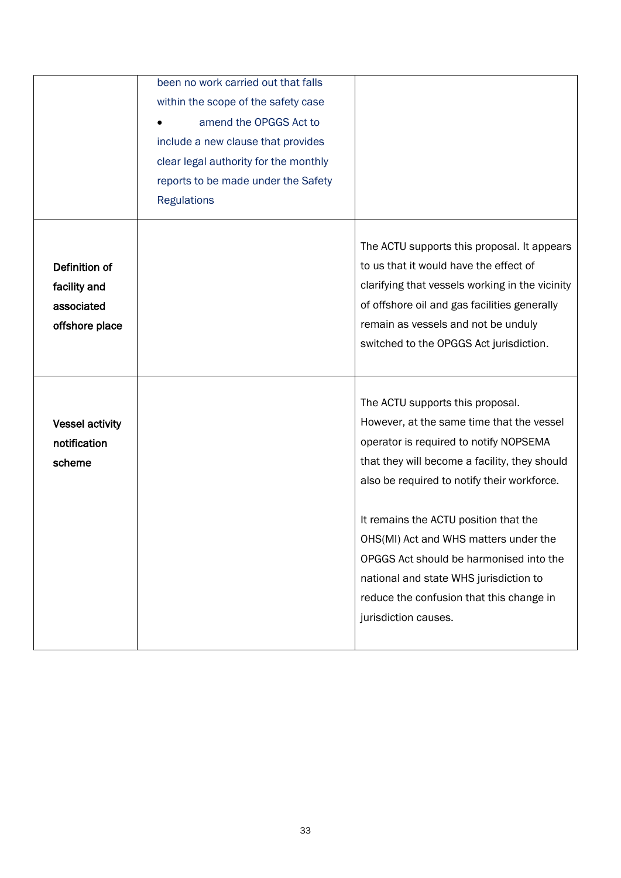|                                                               | been no work carried out that falls<br>within the scope of the safety case<br>amend the OPGGS Act to<br>include a new clause that provides<br>clear legal authority for the monthly |                                                                                                                                                                                                                                                                                                                                                                                                                                                                    |
|---------------------------------------------------------------|-------------------------------------------------------------------------------------------------------------------------------------------------------------------------------------|--------------------------------------------------------------------------------------------------------------------------------------------------------------------------------------------------------------------------------------------------------------------------------------------------------------------------------------------------------------------------------------------------------------------------------------------------------------------|
|                                                               | reports to be made under the Safety<br><b>Regulations</b>                                                                                                                           |                                                                                                                                                                                                                                                                                                                                                                                                                                                                    |
| Definition of<br>facility and<br>associated<br>offshore place |                                                                                                                                                                                     | The ACTU supports this proposal. It appears<br>to us that it would have the effect of<br>clarifying that vessels working in the vicinity<br>of offshore oil and gas facilities generally<br>remain as vessels and not be unduly<br>switched to the OPGGS Act jurisdiction.                                                                                                                                                                                         |
| <b>Vessel activity</b><br>notification<br>scheme              |                                                                                                                                                                                     | The ACTU supports this proposal.<br>However, at the same time that the vessel<br>operator is required to notify NOPSEMA<br>that they will become a facility, they should<br>also be required to notify their workforce.<br>It remains the ACTU position that the<br>OHS(MI) Act and WHS matters under the<br>OPGGS Act should be harmonised into the<br>national and state WHS jurisdiction to<br>reduce the confusion that this change in<br>jurisdiction causes. |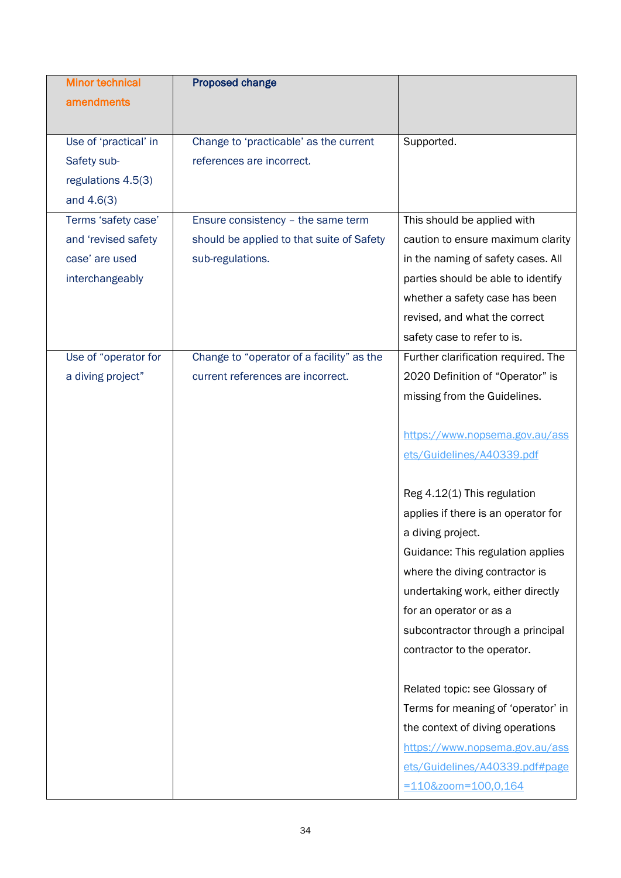| <b>Minor technical</b> | <b>Proposed change</b>                    |                                     |
|------------------------|-------------------------------------------|-------------------------------------|
| amendments             |                                           |                                     |
|                        |                                           |                                     |
| Use of 'practical' in  | Change to 'practicable' as the current    | Supported.                          |
| Safety sub-            | references are incorrect.                 |                                     |
| regulations 4.5(3)     |                                           |                                     |
| and $4.6(3)$           |                                           |                                     |
| Terms 'safety case'    | Ensure consistency - the same term        | This should be applied with         |
| and 'revised safety    | should be applied to that suite of Safety | caution to ensure maximum clarity   |
| case' are used         | sub-regulations.                          | in the naming of safety cases. All  |
| interchangeably        |                                           | parties should be able to identify  |
|                        |                                           | whether a safety case has been      |
|                        |                                           | revised, and what the correct       |
|                        |                                           | safety case to refer to is.         |
| Use of "operator for   | Change to "operator of a facility" as the | Further clarification required. The |
| a diving project"      | current references are incorrect.         | 2020 Definition of "Operator" is    |
|                        |                                           | missing from the Guidelines.        |
|                        |                                           |                                     |
|                        |                                           | https://www.nopsema.gov.au/ass      |
|                        |                                           | ets/Guidelines/A40339.pdf           |
|                        |                                           |                                     |
|                        |                                           | Reg 4.12(1) This regulation         |
|                        |                                           | applies if there is an operator for |
|                        |                                           | a diving project.                   |
|                        |                                           | Guidance: This regulation applies   |
|                        |                                           | where the diving contractor is      |
|                        |                                           | undertaking work, either directly   |
|                        |                                           | for an operator or as a             |
|                        |                                           | subcontractor through a principal   |
|                        |                                           | contractor to the operator.         |
|                        |                                           |                                     |
|                        |                                           | Related topic: see Glossary of      |
|                        |                                           | Terms for meaning of 'operator' in  |
|                        |                                           | the context of diving operations    |
|                        |                                           | https://www.nopsema.gov.au/ass      |
|                        |                                           | ets/Guidelines/A40339.pdf#page      |
|                        |                                           | =110&zoom=100,0,164                 |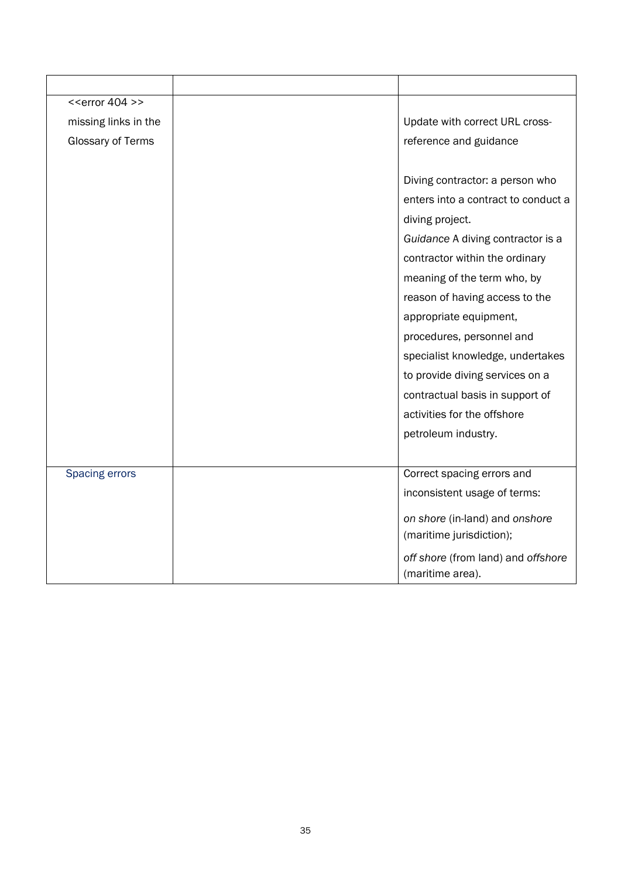| $<<$ error 404 >>    |                                                            |
|----------------------|------------------------------------------------------------|
| missing links in the | Update with correct URL cross-                             |
| Glossary of Terms    | reference and guidance                                     |
|                      |                                                            |
|                      | Diving contractor: a person who                            |
|                      | enters into a contract to conduct a                        |
|                      | diving project.                                            |
|                      | Guidance A diving contractor is a                          |
|                      | contractor within the ordinary                             |
|                      | meaning of the term who, by                                |
|                      | reason of having access to the                             |
|                      | appropriate equipment,                                     |
|                      | procedures, personnel and                                  |
|                      | specialist knowledge, undertakes                           |
|                      | to provide diving services on a                            |
|                      | contractual basis in support of                            |
|                      | activities for the offshore                                |
|                      | petroleum industry.                                        |
|                      |                                                            |
| Spacing errors       | Correct spacing errors and                                 |
|                      | inconsistent usage of terms:                               |
|                      | on shore (in-land) and onshore<br>(maritime jurisdiction); |
|                      | off shore (from land) and offshore<br>(maritime area).     |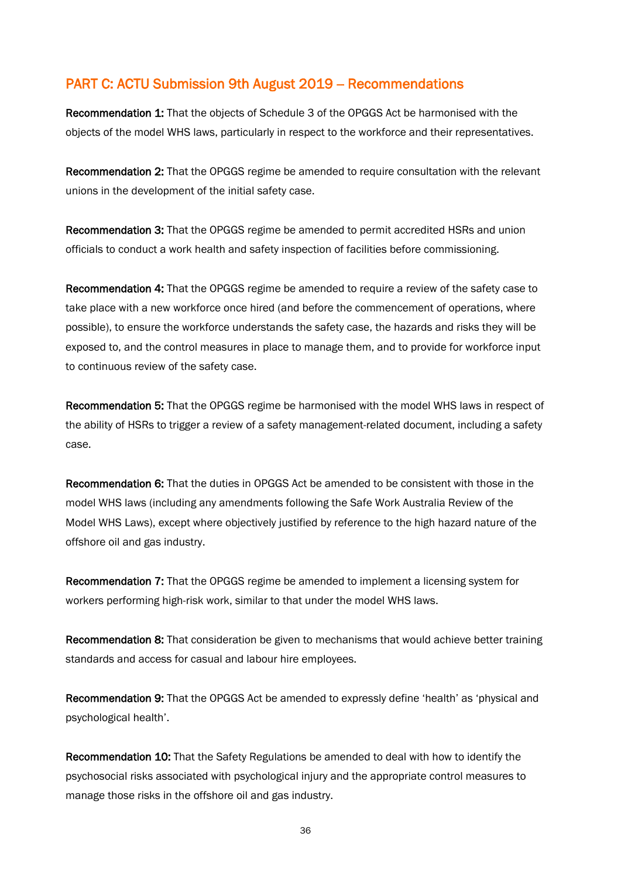#### PART C: ACTU Submission 9th August 2019 - Recommendations

Recommendation 1: That the objects of Schedule 3 of the OPGGS Act be harmonised with the objects of the model WHS laws, particularly in respect to the workforce and their representatives.

Recommendation 2: That the OPGGS regime be amended to require consultation with the relevant unions in the development of the initial safety case.

Recommendation 3: That the OPGGS regime be amended to permit accredited HSRs and union officials to conduct a work health and safety inspection of facilities before commissioning.

Recommendation 4: That the OPGGS regime be amended to require a review of the safety case to take place with a new workforce once hired (and before the commencement of operations, where possible), to ensure the workforce understands the safety case, the hazards and risks they will be exposed to, and the control measures in place to manage them, and to provide for workforce input to continuous review of the safety case.

Recommendation 5: That the OPGGS regime be harmonised with the model WHS laws in respect of the ability of HSRs to trigger a review of a safety management-related document, including a safety case.

Recommendation 6: That the duties in OPGGS Act be amended to be consistent with those in the model WHS laws (including any amendments following the Safe Work Australia Review of the Model WHS Laws), except where objectively justified by reference to the high hazard nature of the offshore oil and gas industry.

Recommendation 7: That the OPGGS regime be amended to implement a licensing system for workers performing high-risk work, similar to that under the model WHS laws.

Recommendation 8: That consideration be given to mechanisms that would achieve better training standards and access for casual and labour hire employees.

Recommendation 9: That the OPGGS Act be amended to expressly define 'health' as 'physical and psychological health'.

Recommendation 10: That the Safety Regulations be amended to deal with how to identify the psychosocial risks associated with psychological injury and the appropriate control measures to manage those risks in the offshore oil and gas industry.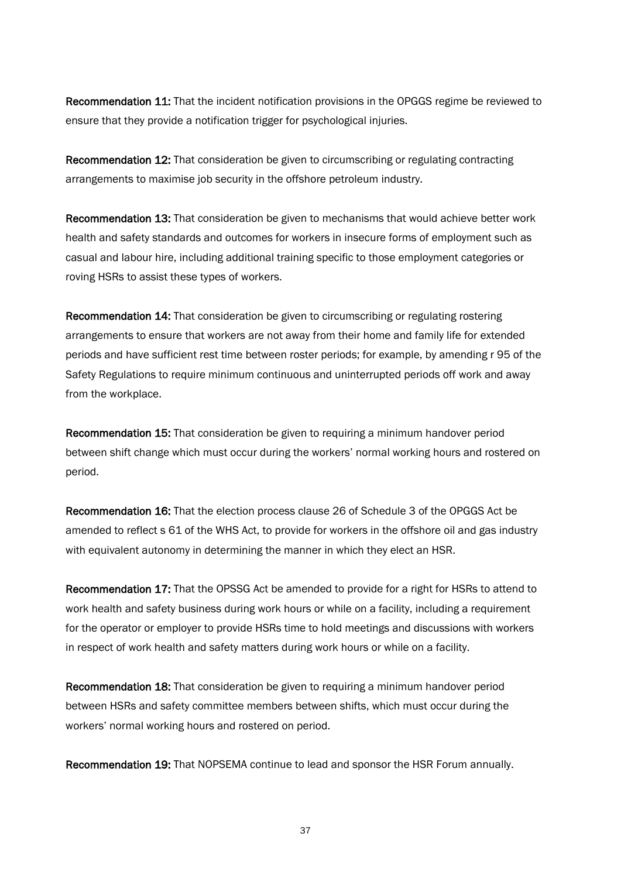Recommendation 11: That the incident notification provisions in the OPGGS regime be reviewed to ensure that they provide a notification trigger for psychological injuries.

Recommendation 12: That consideration be given to circumscribing or regulating contracting arrangements to maximise job security in the offshore petroleum industry.

Recommendation 13: That consideration be given to mechanisms that would achieve better work health and safety standards and outcomes for workers in insecure forms of employment such as casual and labour hire, including additional training specific to those employment categories or roving HSRs to assist these types of workers.

Recommendation 14: That consideration be given to circumscribing or regulating rostering arrangements to ensure that workers are not away from their home and family life for extended periods and have sufficient rest time between roster periods; for example, by amending r 95 of the Safety Regulations to require minimum continuous and uninterrupted periods off work and away from the workplace.

Recommendation 15: That consideration be given to requiring a minimum handover period between shift change which must occur during the workers' normal working hours and rostered on period.

Recommendation 16: That the election process clause 26 of Schedule 3 of the OPGGS Act be amended to reflect s 61 of the WHS Act, to provide for workers in the offshore oil and gas industry with equivalent autonomy in determining the manner in which they elect an HSR.

Recommendation 17: That the OPSSG Act be amended to provide for a right for HSRs to attend to work health and safety business during work hours or while on a facility, including a requirement for the operator or employer to provide HSRs time to hold meetings and discussions with workers in respect of work health and safety matters during work hours or while on a facility.

Recommendation 18: That consideration be given to requiring a minimum handover period between HSRs and safety committee members between shifts, which must occur during the workers' normal working hours and rostered on period.

Recommendation 19: That NOPSEMA continue to lead and sponsor the HSR Forum annually.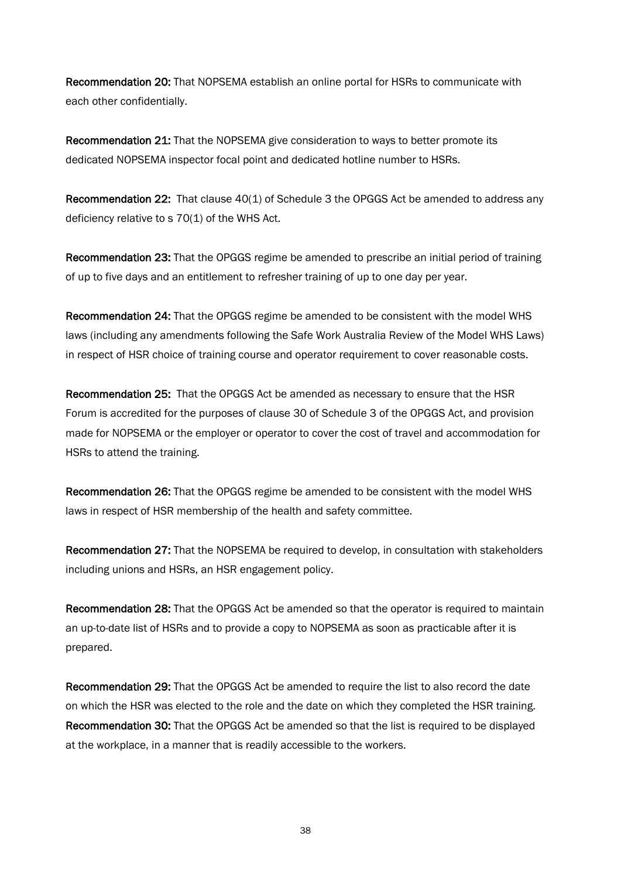Recommendation 20: That NOPSEMA establish an online portal for HSRs to communicate with each other confidentially.

Recommendation 21: That the NOPSEMA give consideration to ways to better promote its dedicated NOPSEMA inspector focal point and dedicated hotline number to HSRs.

Recommendation 22: That clause 40(1) of Schedule 3 the OPGGS Act be amended to address any deficiency relative to s 70(1) of the WHS Act.

Recommendation 23: That the OPGGS regime be amended to prescribe an initial period of training of up to five days and an entitlement to refresher training of up to one day per year.

Recommendation 24: That the OPGGS regime be amended to be consistent with the model WHS laws (including any amendments following the Safe Work Australia Review of the Model WHS Laws) in respect of HSR choice of training course and operator requirement to cover reasonable costs.

Recommendation 25: That the OPGGS Act be amended as necessary to ensure that the HSR Forum is accredited for the purposes of clause 30 of Schedule 3 of the OPGGS Act, and provision made for NOPSEMA or the employer or operator to cover the cost of travel and accommodation for HSRs to attend the training.

Recommendation 26: That the OPGGS regime be amended to be consistent with the model WHS laws in respect of HSR membership of the health and safety committee.

Recommendation 27: That the NOPSEMA be required to develop, in consultation with stakeholders including unions and HSRs, an HSR engagement policy.

Recommendation 28: That the OPGGS Act be amended so that the operator is required to maintain an up-to-date list of HSRs and to provide a copy to NOPSEMA as soon as practicable after it is prepared.

Recommendation 29: That the OPGGS Act be amended to require the list to also record the date on which the HSR was elected to the role and the date on which they completed the HSR training. Recommendation 30: That the OPGGS Act be amended so that the list is required to be displayed at the workplace, in a manner that is readily accessible to the workers.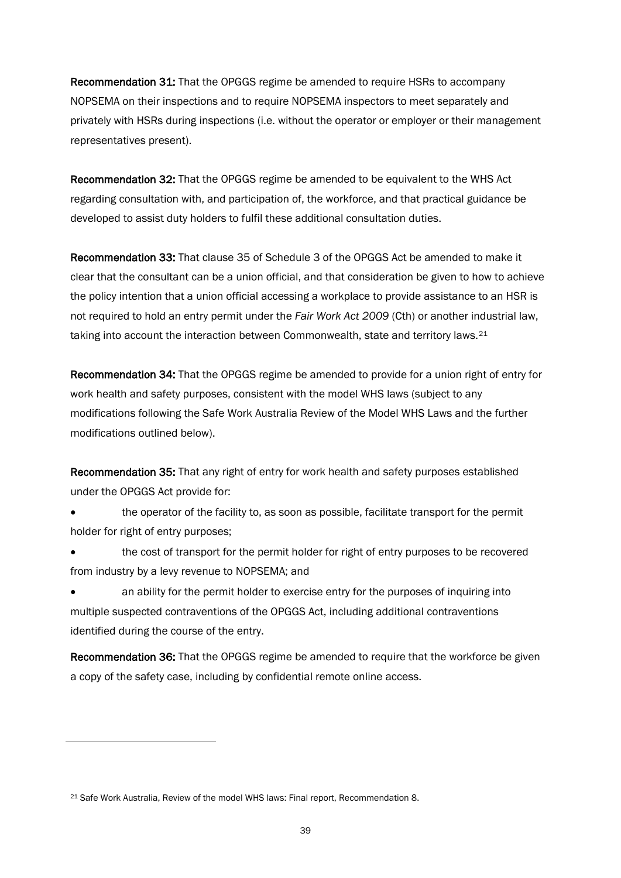Recommendation 31: That the OPGGS regime be amended to require HSRs to accompany NOPSEMA on their inspections and to require NOPSEMA inspectors to meet separately and privately with HSRs during inspections (i.e. without the operator or employer or their management representatives present).

Recommendation 32: That the OPGGS regime be amended to be equivalent to the WHS Act regarding consultation with, and participation of, the workforce, and that practical guidance be developed to assist duty holders to fulfil these additional consultation duties.

Recommendation 33: That clause 35 of Schedule 3 of the OPGGS Act be amended to make it clear that the consultant can be a union official, and that consideration be given to how to achieve the policy intention that a union official accessing a workplace to provide assistance to an HSR is not required to hold an entry permit under the *Fair Work Act 2009* (Cth) or another industrial law, taking into account the interaction between Commonwealth, state and territory laws.<sup>[21](#page-40-0)</sup>

Recommendation 34: That the OPGGS regime be amended to provide for a union right of entry for work health and safety purposes, consistent with the model WHS laws (subject to any modifications following the Safe Work Australia Review of the Model WHS Laws and the further modifications outlined below).

Recommendation 35: That any right of entry for work health and safety purposes established under the OPGGS Act provide for:

• the operator of the facility to, as soon as possible, facilitate transport for the permit holder for right of entry purposes;

the cost of transport for the permit holder for right of entry purposes to be recovered from industry by a levy revenue to NOPSEMA; and

• an ability for the permit holder to exercise entry for the purposes of inquiring into multiple suspected contraventions of the OPGGS Act, including additional contraventions identified during the course of the entry.

Recommendation 36: That the OPGGS regime be amended to require that the workforce be given a copy of the safety case, including by confidential remote online access.

<span id="page-40-0"></span><sup>21</sup> Safe Work Australia, Review of the model WHS laws: Final report, Recommendation 8.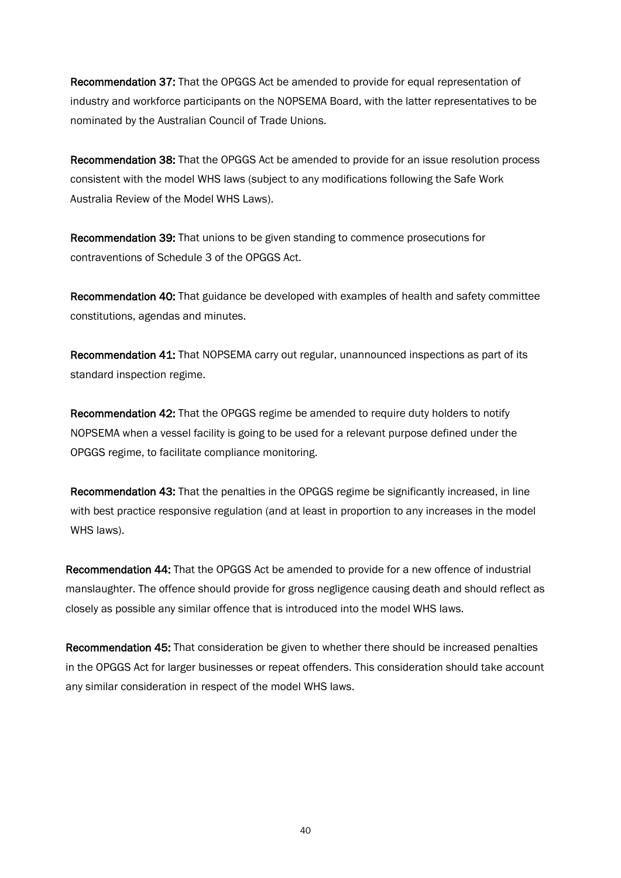Recommendation 37: That the OPGGS Act be amended to provide for equal representation of industry and workforce participants on the NOPSEMA Board, with the latter representatives to be nominated by the Australian Council of Trade Unions.

Recommendation 38: That the OPGGS Act be amended to provide for an issue resolution process consistent with the model WHS laws (subject to any modifications following the Safe Work Australia Review of the Model WHS Laws).

Recommendation 39: That unions to be given standing to commence prosecutions for contraventions of Schedule 3 of the OPGGS Act.

Recommendation 40: That guidance be developed with examples of health and safety committee constitutions, agendas and minutes.

Recommendation 41: That NOPSEMA carry out regular, unannounced inspections as part of its standard inspection regime.

Recommendation 42: That the OPGGS regime be amended to require duty holders to notify NOPSEMA when a vessel facility is going to be used for a relevant purpose defined under the OPGGS regime, to facilitate compliance monitoring.

Recommendation 43: That the penalties in the OPGGS regime be significantly increased, in line with best practice responsive regulation (and at least in proportion to any increases in the model WHS laws).

Recommendation 44: That the OPGGS Act be amended to provide for a new offence of industrial manslaughter. The offence should provide for gross negligence causing death and should reflect as closely as possible any similar offence that is introduced into the model WHS laws.

Recommendation 45: That consideration be given to whether there should be increased penalties in the OPGGS Act for larger businesses or repeat offenders. This consideration should take account any similar consideration in respect of the model WHS laws.

40